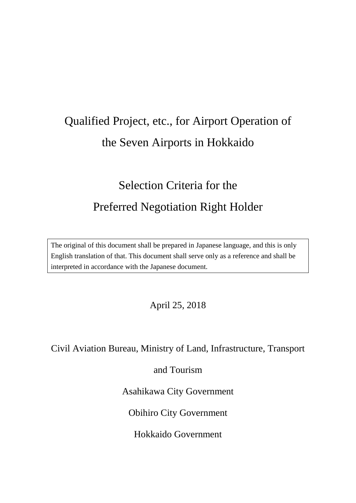# Qualified Project, etc., for Airport Operation of the Seven Airports in Hokkaido

# Selection Criteria for the Preferred Negotiation Right Holder

The original of this document shall be prepared in Japanese language, and this is only English translation of that. This document shall serve only as a reference and shall be interpreted in accordance with the Japanese document.

April 25, 2018

Civil Aviation Bureau, Ministry of Land, Infrastructure, Transport

and Tourism

Asahikawa City Government

Obihiro City Government

Hokkaido Government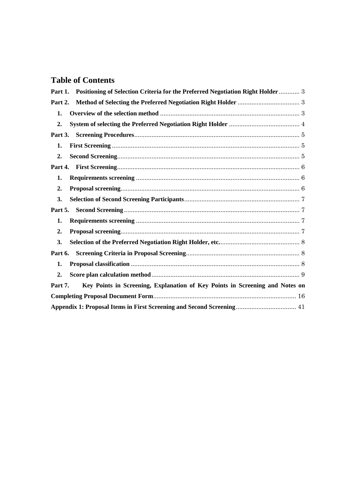# **Table of Contents**

| Positioning of Selection Criteria for the Preferred Negotiation Right Holder  3<br>Part 1. |  |
|--------------------------------------------------------------------------------------------|--|
| Part 2.                                                                                    |  |
| 1.                                                                                         |  |
| $\overline{2}$ .                                                                           |  |
| Part 3.                                                                                    |  |
| 1.                                                                                         |  |
| $\overline{2}$ .                                                                           |  |
| Part 4.                                                                                    |  |
| 1.                                                                                         |  |
| $\overline{2}$ .                                                                           |  |
| 3.                                                                                         |  |
| Part 5.                                                                                    |  |
| 1.                                                                                         |  |
| $\overline{2}$ .                                                                           |  |
| 3.                                                                                         |  |
| Part 6.                                                                                    |  |
| 1.                                                                                         |  |
| $\overline{2}$ .                                                                           |  |
| Key Points in Screening, Explanation of Key Points in Screening and Notes on<br>Part 7.    |  |
|                                                                                            |  |
| Appendix 1: Proposal Items in First Screening and Second Screening 41                      |  |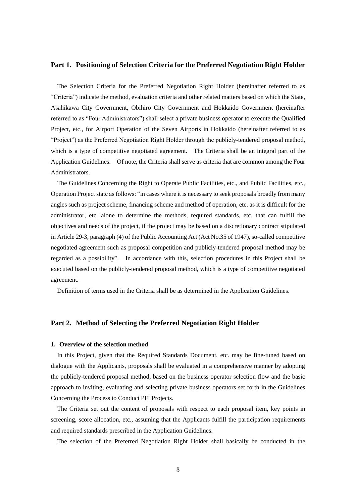# <span id="page-2-0"></span>**Part 1. Positioning of Selection Criteria for the Preferred Negotiation Right Holder**

The Selection Criteria for the Preferred Negotiation Right Holder (hereinafter referred to as "Criteria") indicate the method, evaluation criteria and other related matters based on which the State, Asahikawa City Government, Obihiro City Government and Hokkaido Government (hereinafter referred to as "Four Administrators") shall select a private business operator to execute the Qualified Project, etc., for Airport Operation of the Seven Airports in Hokkaido (hereinafter referred to as "Project") as the Preferred Negotiation Right Holder through the publicly-tendered proposal method, which is a type of competitive negotiated agreement. The Criteria shall be an integral part of the Application Guidelines. Of note, the Criteria shall serve as criteria that are common among the Four Administrators.

The Guidelines Concerning the Right to Operate Public Facilities, etc., and Public Facilities, etc., Operation Project state as follows: "in cases where it is necessary to seek proposals broadly from many angles such as project scheme, financing scheme and method of operation, etc. as it is difficult for the administrator, etc. alone to determine the methods, required standards, etc. that can fulfill the objectives and needs of the project, if the project may be based on a discretionary contract stipulated in Article 29-3, paragraph (4) of the Public Accounting Act (Act No.35 of 1947), so-called competitive negotiated agreement such as proposal competition and publicly-tendered proposal method may be regarded as a possibility". In accordance with this, selection procedures in this Project shall be executed based on the publicly-tendered proposal method, which is a type of competitive negotiated agreement.

Definition of terms used in the Criteria shall be as determined in the Application Guidelines.

# <span id="page-2-1"></span>**Part 2. Method of Selecting the Preferred Negotiation Right Holder**

#### <span id="page-2-2"></span>**1. Overview of the selection method**

In this Project, given that the Required Standards Document, etc. may be fine-tuned based on dialogue with the Applicants, proposals shall be evaluated in a comprehensive manner by adopting the publicly-tendered proposal method, based on the business operator selection flow and the basic approach to inviting, evaluating and selecting private business operators set forth in the Guidelines Concerning the Process to Conduct PFI Projects.

The Criteria set out the content of proposals with respect to each proposal item, key points in screening, score allocation, etc., assuming that the Applicants fulfill the participation requirements and required standards prescribed in the Application Guidelines.

The selection of the Preferred Negotiation Right Holder shall basically be conducted in the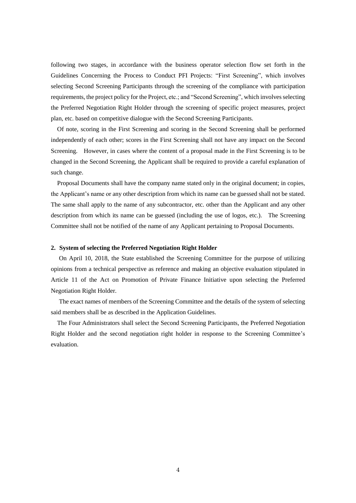following two stages, in accordance with the business operator selection flow set forth in the Guidelines Concerning the Process to Conduct PFI Projects: "First Screening", which involves selecting Second Screening Participants through the screening of the compliance with participation requirements, the project policy for the Project, etc.; and "Second Screening", which involves selecting the Preferred Negotiation Right Holder through the screening of specific project measures, project plan, etc. based on competitive dialogue with the Second Screening Participants.

Of note, scoring in the First Screening and scoring in the Second Screening shall be performed independently of each other; scores in the First Screening shall not have any impact on the Second Screening. However, in cases where the content of a proposal made in the First Screening is to be changed in the Second Screening, the Applicant shall be required to provide a careful explanation of such change.

Proposal Documents shall have the company name stated only in the original document; in copies, the Applicant's name or any other description from which its name can be guessed shall not be stated. The same shall apply to the name of any subcontractor, etc. other than the Applicant and any other description from which its name can be guessed (including the use of logos, etc.). The Screening Committee shall not be notified of the name of any Applicant pertaining to Proposal Documents.

# <span id="page-3-0"></span>**2. System of selecting the Preferred Negotiation Right Holder**

On April 10, 2018, the State established the Screening Committee for the purpose of utilizing opinions from a technical perspective as reference and making an objective evaluation stipulated in Article 11 of the Act on Promotion of Private Finance Initiative upon selecting the Preferred Negotiation Right Holder.

The exact names of members of the Screening Committee and the details of the system of selecting said members shall be as described in the Application Guidelines.

The Four Administrators shall select the Second Screening Participants, the Preferred Negotiation Right Holder and the second negotiation right holder in response to the Screening Committee's evaluation.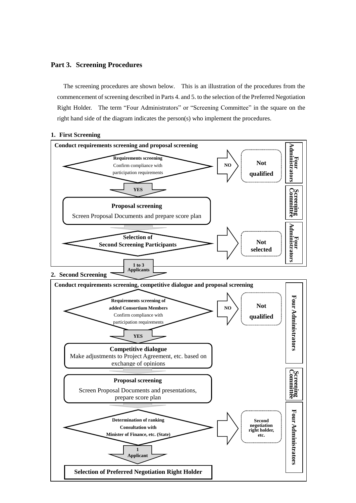# <span id="page-4-0"></span>**Part 3. Screening Procedures**

The screening procedures are shown below. This is an illustration of the procedures from the commencement of screening described in Parts 4. and 5. to the selection of the Preferred Negotiation Right Holder. The term "Four Administrators" or "Screening Committee" in the square on the right hand side of the diagram indicates the person(s) who implement the procedures.

# <span id="page-4-1"></span>**1. First Screening**

<span id="page-4-2"></span>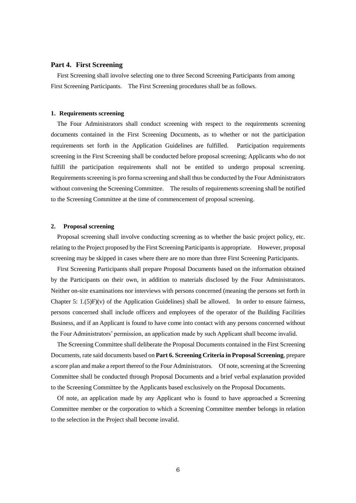# <span id="page-5-0"></span>**Part 4. First Screening**

First Screening shall involve selecting one to three Second Screening Participants from among First Screening Participants. The First Screening procedures shall be as follows.

# <span id="page-5-1"></span>**1. Requirements screening**

The Four Administrators shall conduct screening with respect to the requirements screening documents contained in the First Screening Documents, as to whether or not the participation requirements set forth in the Application Guidelines are fulfilled. Participation requirements screening in the First Screening shall be conducted before proposal screening; Applicants who do not fulfill the participation requirements shall not be entitled to undergo proposal screening. Requirements screening is pro forma screening and shall thus be conducted by the Four Administrators without convening the Screening Committee. The results of requirements screening shall be notified to the Screening Committee at the time of commencement of proposal screening.

#### <span id="page-5-2"></span>**2. Proposal screening**

Proposal screening shall involve conducting screening as to whether the basic project policy, etc. relating to the Project proposed by the First Screening Participants is appropriate. However, proposal screening may be skipped in cases where there are no more than three First Screening Participants.

First Screening Participants shall prepare Proposal Documents based on the information obtained by the Participants on their own, in addition to materials disclosed by the Four Administrators. Neither on-site examinations nor interviews with persons concerned (meaning the persons set forth in Chapter 5:  $1.(5)F)(v)$  of the Application Guidelines) shall be allowed. In order to ensure fairness, persons concerned shall include officers and employees of the operator of the Building Facilities Business, and if an Applicant is found to have come into contact with any persons concerned without the Four Administrators' permission, an application made by such Applicant shall become invalid.

The Screening Committee shall deliberate the Proposal Documents contained in the First Screening Documents, rate said documents based on **Part 6. Screening Criteria in Proposal Screening**, prepare a score plan and make a report thereof to the Four Administrators. Of note, screening at the Screening Committee shall be conducted through Proposal Documents and a brief verbal explanation provided to the Screening Committee by the Applicants based exclusively on the Proposal Documents.

Of note, an application made by any Applicant who is found to have approached a Screening Committee member or the corporation to which a Screening Committee member belongs in relation to the selection in the Project shall become invalid.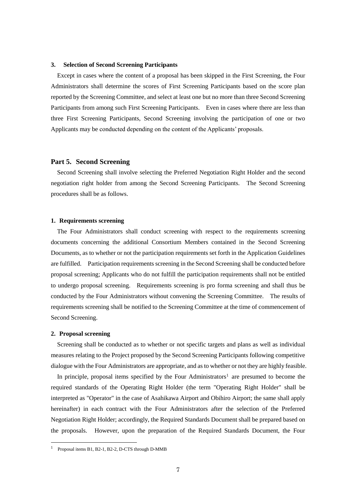#### <span id="page-6-0"></span>**3. Selection of Second Screening Participants**

Except in cases where the content of a proposal has been skipped in the First Screening, the Four Administrators shall determine the scores of First Screening Participants based on the score plan reported by the Screening Committee, and select at least one but no more than three Second Screening Participants from among such First Screening Participants. Even in cases where there are less than three First Screening Participants, Second Screening involving the participation of one or two Applicants may be conducted depending on the content of the Applicants' proposals.

# <span id="page-6-1"></span>**Part 5. Second Screening**

Second Screening shall involve selecting the Preferred Negotiation Right Holder and the second negotiation right holder from among the Second Screening Participants. The Second Screening procedures shall be as follows.

#### <span id="page-6-2"></span>**1. Requirements screening**

The Four Administrators shall conduct screening with respect to the requirements screening documents concerning the additional Consortium Members contained in the Second Screening Documents, as to whether or not the participation requirements set forth in the Application Guidelines are fulfilled. Participation requirements screening in the Second Screening shall be conducted before proposal screening; Applicants who do not fulfill the participation requirements shall not be entitled to undergo proposal screening. Requirements screening is pro forma screening and shall thus be conducted by the Four Administrators without convening the Screening Committee. The results of requirements screening shall be notified to the Screening Committee at the time of commencement of Second Screening.

#### <span id="page-6-3"></span>**2. Proposal screening**

 $\overline{a}$ 

Screening shall be conducted as to whether or not specific targets and plans as well as individual measures relating to the Project proposed by the Second Screening Participants following competitive dialogue with the Four Administrators are appropriate, and as to whether or not they are highly feasible.

In principle, proposal items specified by the Four Administrators<sup>1</sup> are presumed to become the required standards of the Operating Right Holder (the term "Operating Right Holder" shall be interpreted as "Operator" in the case of Asahikawa Airport and Obihiro Airport; the same shall apply hereinafter) in each contract with the Four Administrators after the selection of the Preferred Negotiation Right Holder; accordingly, the Required Standards Document shall be prepared based on the proposals. However, upon the preparation of the Required Standards Document, the Four

<sup>1</sup> Proposal items B1, B2-1, B2-2, D-CTS through D-MMB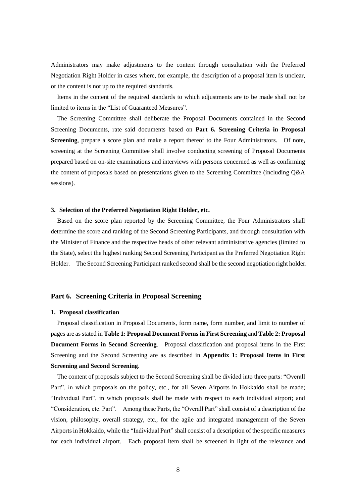Administrators may make adjustments to the content through consultation with the Preferred Negotiation Right Holder in cases where, for example, the description of a proposal item is unclear, or the content is not up to the required standards.

Items in the content of the required standards to which adjustments are to be made shall not be limited to items in the "List of Guaranteed Measures".

The Screening Committee shall deliberate the Proposal Documents contained in the Second Screening Documents, rate said documents based on **Part 6. Screening Criteria in Proposal Screening**, prepare a score plan and make a report thereof to the Four Administrators. Of note, screening at the Screening Committee shall involve conducting screening of Proposal Documents prepared based on on-site examinations and interviews with persons concerned as well as confirming the content of proposals based on presentations given to the Screening Committee (including Q&A sessions).

# <span id="page-7-0"></span>**3. Selection of the Preferred Negotiation Right Holder, etc.**

Based on the score plan reported by the Screening Committee, the Four Administrators shall determine the score and ranking of the Second Screening Participants, and through consultation with the Minister of Finance and the respective heads of other relevant administrative agencies (limited to the State), select the highest ranking Second Screening Participant as the Preferred Negotiation Right Holder. The Second Screening Participant ranked second shall be the second negotiation right holder.

#### <span id="page-7-2"></span><span id="page-7-1"></span>**Part 6. Screening Criteria in Proposal Screening**

#### **1. Proposal classification**

Proposal classification in Proposal Documents, form name, form number, and limit to number of pages are as stated in **Table 1: Proposal Document Forms in First Screening** and **Table 2: Proposal Document Forms in Second Screening**. Proposal classification and proposal items in the First Screening and the Second Screening are as described in **Appendix 1: Proposal Items in First Screening and Second Screening**.

The content of proposals subject to the Second Screening shall be divided into three parts: "Overall Part", in which proposals on the policy, etc., for all Seven Airports in Hokkaido shall be made; "Individual Part", in which proposals shall be made with respect to each individual airport; and "Consideration, etc. Part". Among these Parts, the "Overall Part" shall consist of a description of the vision, philosophy, overall strategy, etc., for the agile and integrated management of the Seven Airports in Hokkaido, while the "Individual Part" shall consist of a description of the specific measures for each individual airport. Each proposal item shall be screened in light of the relevance and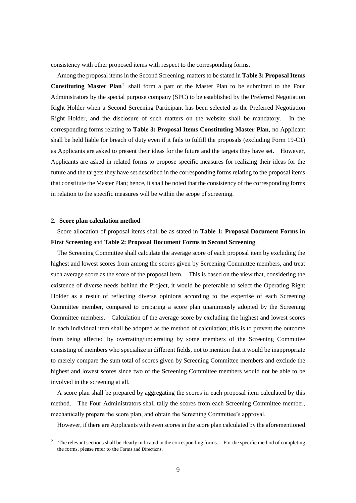consistency with other proposed items with respect to the corresponding forms.

Among the proposal items in the Second Screening, matters to be stated in **Table 3: Proposal Items Constituting Master Plan**<sup>2</sup> shall form a part of the Master Plan to be submitted to the Four Administrators by the special purpose company (SPC) to be established by the Preferred Negotiation Right Holder when a Second Screening Participant has been selected as the Preferred Negotiation Right Holder, and the disclosure of such matters on the website shall be mandatory. In the corresponding forms relating to **Table 3: Proposal Items Constituting Master Plan**, no Applicant shall be held liable for breach of duty even if it fails to fulfill the proposals (excluding Form 19-C1) as Applicants are asked to present their ideas for the future and the targets they have set. However, Applicants are asked in related forms to propose specific measures for realizing their ideas for the future and the targets they have set described in the corresponding forms relating to the proposal items that constitute the Master Plan; hence, it shall be noted that the consistency of the corresponding forms in relation to the specific measures will be within the scope of screening.

# <span id="page-8-0"></span>**2. Score plan calculation method**

 $\overline{a}$ 

Score allocation of proposal items shall be as stated in **Table 1: Proposal Document Forms in First Screening** and **Table 2: Proposal Document Forms in Second Screening**.

The Screening Committee shall calculate the average score of each proposal item by excluding the highest and lowest scores from among the scores given by Screening Committee members, and treat such average score as the score of the proposal item. This is based on the view that, considering the existence of diverse needs behind the Project, it would be preferable to select the Operating Right Holder as a result of reflecting diverse opinions according to the expertise of each Screening Committee member, compared to preparing a score plan unanimously adopted by the Screening Committee members. Calculation of the average score by excluding the highest and lowest scores in each individual item shall be adopted as the method of calculation; this is to prevent the outcome from being affected by overrating/underrating by some members of the Screening Committee consisting of members who specialize in different fields, not to mention that it would be inappropriate to merely compare the sum total of scores given by Screening Committee members and exclude the highest and lowest scores since two of the Screening Committee members would not be able to be involved in the screening at all.

A score plan shall be prepared by aggregating the scores in each proposal item calculated by this method. The Four Administrators shall tally the scores from each Screening Committee member, mechanically prepare the score plan, and obtain the Screening Committee's approval.

However, if there are Applicants with even scores in the score plan calculated by the aforementioned

<sup>2</sup> The relevant sections shall be clearly indicated in the corresponding forms. For the specific method of completing the forms, please refer to the Forms and Directions.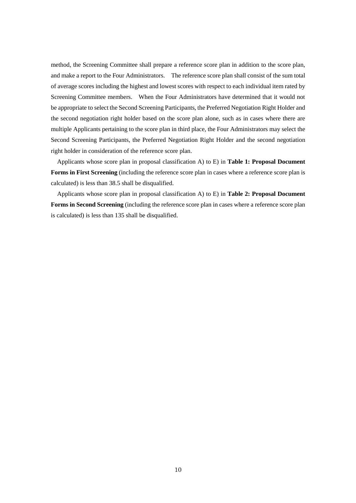method, the Screening Committee shall prepare a reference score plan in addition to the score plan, and make a report to the Four Administrators. The reference score plan shall consist of the sum total of average scores including the highest and lowest scores with respect to each individual item rated by Screening Committee members. When the Four Administrators have determined that it would not be appropriate to select the Second Screening Participants, the Preferred Negotiation Right Holder and the second negotiation right holder based on the score plan alone, such as in cases where there are multiple Applicants pertaining to the score plan in third place, the Four Administrators may select the Second Screening Participants, the Preferred Negotiation Right Holder and the second negotiation right holder in consideration of the reference score plan.

Applicants whose score plan in proposal classification A) to E) in **Table 1: Proposal Document Forms in First Screening** (including the reference score plan in cases where a reference score plan is calculated) is less than 38.5 shall be disqualified.

Applicants whose score plan in proposal classification A) to E) in **Table 2: Proposal Document Forms in Second Screening** (including the reference score plan in cases where a reference score plan is calculated) is less than 135 shall be disqualified.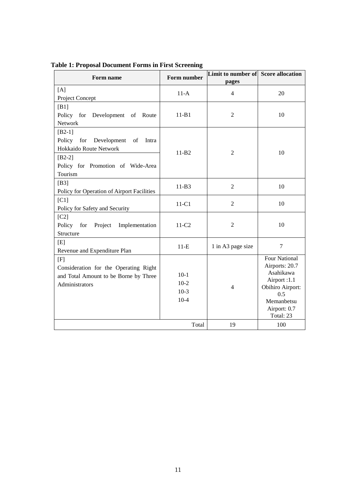| Form name                                   | Form number       | Limit to number of Score allocation<br>pages |                                 |  |
|---------------------------------------------|-------------------|----------------------------------------------|---------------------------------|--|
| [A]                                         | $11-A$            | 4                                            | 20                              |  |
| Project Concept                             |                   |                                              |                                 |  |
| [B1]                                        |                   |                                              |                                 |  |
| Policy for<br>Development<br>of<br>Route    | $11 - B1$         | $\overline{2}$                               | 10                              |  |
| Network                                     |                   |                                              |                                 |  |
| $[B2-1]$                                    |                   |                                              |                                 |  |
| Policy<br>for<br>Development<br>of<br>Intra |                   |                                              |                                 |  |
| Hokkaido Route Network                      | $11-B2$           | $\overline{2}$                               | 10                              |  |
| $[B2-2]$                                    |                   |                                              |                                 |  |
| Policy for Promotion of Wide-Area           |                   |                                              |                                 |  |
| Tourism                                     |                   |                                              |                                 |  |
| [B3]                                        | $11-B3$           | $\overline{2}$                               | 10                              |  |
| Policy for Operation of Airport Facilities  |                   |                                              |                                 |  |
| [CI]                                        | $11-C1$           | $\overline{2}$                               | 10                              |  |
| Policy for Safety and Security              |                   |                                              |                                 |  |
| [ <sub>C2</sub> ]                           |                   |                                              |                                 |  |
| Policy for<br>Project<br>Implementation     | 11-C <sub>2</sub> | $\overline{2}$                               | 10                              |  |
| Structure                                   |                   |                                              |                                 |  |
| [E]                                         | $11-E$            | 1 in A3 page size                            | $\overline{7}$                  |  |
| Revenue and Expenditure Plan                |                   |                                              |                                 |  |
| [F]                                         |                   |                                              | <b>Four National</b>            |  |
| Consideration for the Operating Right       |                   |                                              | Airports: 20.7                  |  |
| and Total Amount to be Borne by Three       | $10-1$            |                                              | Asahikawa                       |  |
| Administrators                              | $10-2$            | $\overline{4}$                               | Airport:1.1<br>Obihiro Airport: |  |
|                                             | $10-3$            |                                              | 0.5                             |  |
|                                             | $10-4$            |                                              | Memanbetsu                      |  |
|                                             |                   |                                              | Airport: 0.7                    |  |
|                                             |                   |                                              | Total: 23                       |  |
|                                             | Total             | 19                                           | 100                             |  |

**Table 1: Proposal Document Forms in First Screening**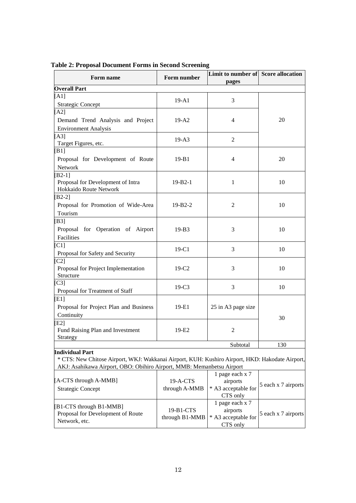| Form name                                                                                                                 | Form number    | Limit to number of Score allocation<br>pages |                     |
|---------------------------------------------------------------------------------------------------------------------------|----------------|----------------------------------------------|---------------------|
| <b>Overall Part</b>                                                                                                       |                |                                              |                     |
| [A1]                                                                                                                      |                |                                              |                     |
| <b>Strategic Concept</b>                                                                                                  | $19-A1$        | 3                                            |                     |
| [A2]                                                                                                                      |                |                                              |                     |
| Demand Trend Analysis and Project                                                                                         | $19-A2$        | 4                                            | 20                  |
| <b>Environment Analysis</b>                                                                                               |                |                                              |                     |
| [A3]                                                                                                                      |                |                                              |                     |
| Target Figures, etc.                                                                                                      | $19-A3$        | 2                                            |                     |
| $B1$ ]                                                                                                                    |                |                                              |                     |
| Proposal for Development of Route                                                                                         | $19 - B1$      | $\overline{4}$                               | 20                  |
| Network                                                                                                                   |                |                                              |                     |
| $B2-1$ ]                                                                                                                  |                |                                              |                     |
| Proposal for Development of Intra                                                                                         | $19 - B2 - 1$  | $\mathbf{1}$                                 | 10                  |
| Hokkaido Route Network                                                                                                    |                |                                              |                     |
| $B2-2$ ]                                                                                                                  |                |                                              |                     |
| Proposal for Promotion of Wide-Area                                                                                       | $19 - B2 - 2$  | $\overline{2}$                               | 10                  |
| Tourism                                                                                                                   |                |                                              |                     |
| [B3]                                                                                                                      |                |                                              |                     |
| Proposal for Operation of Airport                                                                                         | $19-B3$        | 3                                            | 10                  |
| Facilities                                                                                                                |                |                                              |                     |
| C1                                                                                                                        |                | 3                                            |                     |
| Proposal for Safety and Security                                                                                          | $19-C1$        |                                              | 10                  |
| $C2$ ]                                                                                                                    |                |                                              |                     |
| Proposal for Project Implementation                                                                                       | $19-C2$        | 3                                            | 10                  |
| Structure                                                                                                                 |                |                                              |                     |
| $C3$ ]                                                                                                                    | $19-C3$        | 3                                            | 10                  |
| Proposal for Treatment of Staff                                                                                           |                |                                              |                     |
| [E1]                                                                                                                      |                |                                              |                     |
| Proposal for Project Plan and Business                                                                                    | 19-E1          | 25 in A3 page size                           |                     |
| Continuity                                                                                                                |                |                                              | 30                  |
| $E2$ ]                                                                                                                    |                |                                              |                     |
| Fund Raising Plan and Investment                                                                                          | 19-E2          | $\overline{c}$                               |                     |
| Strategy                                                                                                                  |                |                                              |                     |
|                                                                                                                           |                | Subtotal                                     | 130                 |
| <b>Individual Part</b><br>* CTS: New Chitose Airport, WKJ: Wakkanai Airport, KUH: Kushiro Airport, HKD: Hakodate Airport, |                |                                              |                     |
| AKJ: Asahikawa Airport, OBO: Obihiro Airport, MMB: Memanbetsu Airport                                                     |                |                                              |                     |
|                                                                                                                           |                | 1 page each x 7                              |                     |
| [A-CTS through A-MMB]                                                                                                     | 19-A-CTS       | airports                                     |                     |
| <b>Strategic Concept</b>                                                                                                  | through A-MMB  | * A3 acceptable for                          | 5 each x 7 airports |
|                                                                                                                           |                | CTS only                                     |                     |
|                                                                                                                           |                | 1 page each x 7                              |                     |
| [B1-CTS through B1-MMB]<br>Proposal for Development of Route                                                              | 19-B1-CTS      | airports                                     | 5 each x 7 airports |
| Network, etc.                                                                                                             | through B1-MMB | * A3 acceptable for                          |                     |
|                                                                                                                           |                | CTS only                                     |                     |

**Table 2: Proposal Document Forms in Second Screening**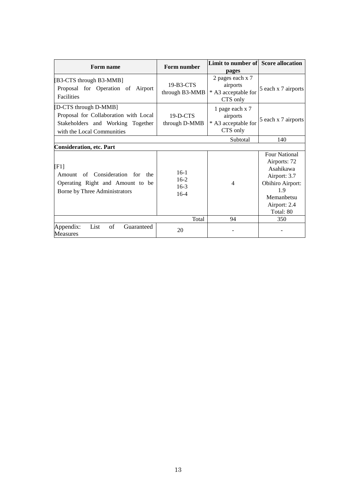| Form name                                                                                                                         | Form number                          | Limit to number of                                              | <b>Score allocation</b>                                                                                                                        |
|-----------------------------------------------------------------------------------------------------------------------------------|--------------------------------------|-----------------------------------------------------------------|------------------------------------------------------------------------------------------------------------------------------------------------|
|                                                                                                                                   |                                      | pages                                                           |                                                                                                                                                |
| [B3-CTS through B3-MMB]<br>Proposal for Operation of Airport<br>Facilities                                                        | 19-B3-CTS<br>through B3-MMB          | 2 pages each x 7<br>airports<br>* A3 acceptable for<br>CTS only | 5 each x 7 airports                                                                                                                            |
| [D-CTS through D-MMB]<br>Proposal for Collaboration with Local<br>Stakeholders and Working Together<br>with the Local Communities | $19-D-CTS$<br>through D-MMB          | 1 page each x 7<br>airports<br>* A3 acceptable for<br>CTS only  | 5 each x 7 airports                                                                                                                            |
|                                                                                                                                   |                                      | Subtotal                                                        | 140                                                                                                                                            |
| <b>Consideration, etc. Part</b>                                                                                                   |                                      |                                                                 |                                                                                                                                                |
| $[$ F1]<br>of Consideration<br>for<br>the<br>Amount<br>Operating Right and Amount to be<br>Borne by Three Administrators          | $16-1$<br>$16-2$<br>$16-3$<br>$16-4$ | 4                                                               | <b>Four National</b><br>Airports: 72<br>Asahikawa<br>Airport: 3.7<br><b>Obihiro Airport:</b><br>1.9<br>Memanbetsu<br>Airport: 2.4<br>Total: 80 |
|                                                                                                                                   | Total                                | 94                                                              | 350                                                                                                                                            |
| of<br>Appendix:<br>List<br>Guaranteed<br><b>Measures</b>                                                                          | 20                                   |                                                                 |                                                                                                                                                |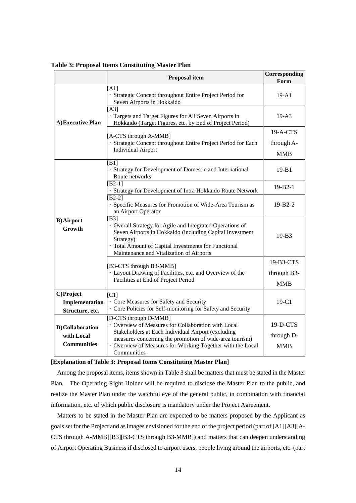|                                                     | <b>Proposal item</b>                                                                                                                                                                                                                                                      | Corresponding<br>Form                  |
|-----------------------------------------------------|---------------------------------------------------------------------------------------------------------------------------------------------------------------------------------------------------------------------------------------------------------------------------|----------------------------------------|
|                                                     | $A1$ ]<br>· Strategic Concept throughout Entire Project Period for<br>Seven Airports in Hokkaido                                                                                                                                                                          | $19 - A1$                              |
| A) Executive Plan                                   | [A3]<br>· Targets and Target Figures for All Seven Airports in<br>Hokkaido (Target Figures, etc. by End of Project Period)                                                                                                                                                | $19 - A3$                              |
|                                                     | [A-CTS through A-MMB]<br>· Strategic Concept throughout Entire Project Period for Each<br><b>Individual Airport</b>                                                                                                                                                       | $19-A-CTS$<br>through A-<br><b>MMB</b> |
|                                                     | B1<br>· Strategy for Development of Domestic and International<br>Route networks                                                                                                                                                                                          | $19 - B1$                              |
|                                                     | $[B2-1]$<br>· Strategy for Development of Intra Hokkaido Route Network                                                                                                                                                                                                    | $19 - B2 - 1$                          |
|                                                     | $B2-2$<br>· Specific Measures for Promotion of Wide-Area Tourism as<br>an Airport Operator                                                                                                                                                                                | $19 - B2 - 2$                          |
| <b>B)</b> Airport<br>Growth                         | <b>B31</b><br>· Overall Strategy for Agile and Integrated Operations of<br>Seven Airports in Hokkaido (including Capital Investment<br>Strategy)<br>· Total Amount of Capital Investments for Functional<br>Maintenance and Vitalization of Airports                      | $19-B3$                                |
|                                                     | [B3-CTS through B3-MMB]                                                                                                                                                                                                                                                   | 19-B3-CTS                              |
|                                                     | · Layout Drawing of Facilities, etc. and Overview of the<br>Facilities at End of Project Period                                                                                                                                                                           | through B3-<br><b>MMB</b>              |
| C)Project<br>Implementation<br>Structure, etc.      | [C1]<br>· Core Measures for Safety and Security<br>· Core Policies for Self-monitoring for Safety and Security                                                                                                                                                            | 19-C1                                  |
| D)Collaboration<br>with Local<br><b>Communities</b> | D-CTS through D-MMB]<br>· Overview of Measures for Collaboration with Local<br>Stakeholders at Each Individual Airport (excluding<br>measures concerning the promotion of wide-area tourism)<br>• Overview of Measures for Working Together with the Local<br>Communities | 19-D-CTS<br>through D-<br><b>MMB</b>   |

**Table 3: Proposal Items Constituting Master Plan** 

#### **[Explanation of Table 3: Proposal Items Constituting Master Plan]**

Among the proposal items, items shown in Table 3 shall be matters that must be stated in the Master Plan. The Operating Right Holder will be required to disclose the Master Plan to the public, and realize the Master Plan under the watchful eye of the general public, in combination with financial information, etc. of which public disclosure is mandatory under the Project Agreement.

Matters to be stated in the Master Plan are expected to be matters proposed by the Applicant as goals set for the Project and as images envisioned for the end of the project period (part of [A1][A3][A-CTS through A-MMB][B3][B3-CTS through B3-MMB]) and matters that can deepen understanding of Airport Operating Business if disclosed to airport users, people living around the airports, etc. (part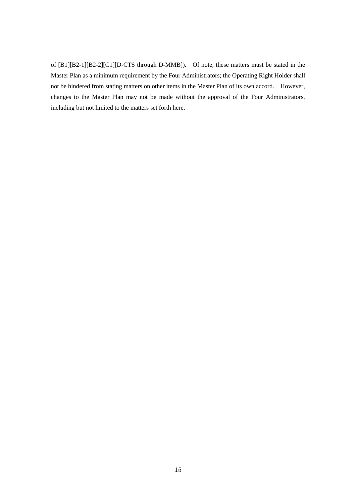of [B1][B2-1][B2-2][C1][D-CTS through D-MMB]). Of note, these matters must be stated in the Master Plan as a minimum requirement by the Four Administrators; the Operating Right Holder shall not be hindered from stating matters on other items in the Master Plan of its own accord. However, changes to the Master Plan may not be made without the approval of the Four Administrators, including but not limited to the matters set forth here.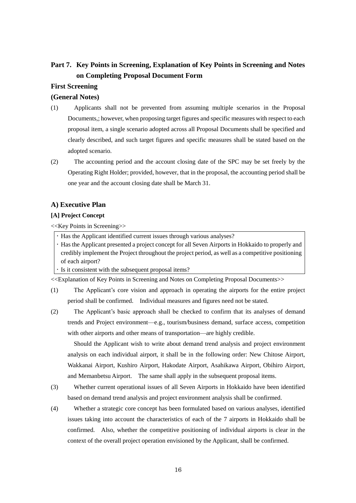# <span id="page-15-0"></span>**Part 7. Key Points in Screening, Explanation of Key Points in Screening and Notes on Completing Proposal Document Form**

# **First Screening**

# **(General Notes)**

- (1) Applicants shall not be prevented from assuming multiple scenarios in the Proposal Documents,; however, when proposing target figures and specific measures with respect to each proposal item, a single scenario adopted across all Proposal Documents shall be specified and clearly described, and such target figures and specific measures shall be stated based on the adopted scenario.
- (2) The accounting period and the account closing date of the SPC may be set freely by the Operating Right Holder; provided, however, that in the proposal, the accounting period shall be one year and the account closing date shall be March 31.

# **A) Executive Plan**

# **[A] Project Concept**

<<Key Points in Screening>>

Has the Applicant identified current issues through various analyses?

 Has the Applicant presented a project concept for all Seven Airports in Hokkaido to properly and credibly implement the Project throughout the project period, as well as a competitive positioning of each airport?

If it consistent with the subsequent proposal items?

<<Explanation of Key Points in Screening and Notes on Completing Proposal Documents>>

- (1) The Applicant's core vision and approach in operating the airports for the entire project period shall be confirmed. Individual measures and figures need not be stated.
- (2) The Applicant's basic approach shall be checked to confirm that its analyses of demand trends and Project environment—e.g., tourism/business demand, surface access, competition with other airports and other means of transportation—are highly credible.

Should the Applicant wish to write about demand trend analysis and project environment analysis on each individual airport, it shall be in the following order: New Chitose Airport, Wakkanai Airport, Kushiro Airport, Hakodate Airport, Asahikawa Airport, Obihiro Airport, and Memanbetsu Airport. The same shall apply in the subsequent proposal items.

- (3) Whether current operational issues of all Seven Airports in Hokkaido have been identified based on demand trend analysis and project environment analysis shall be confirmed.
- (4) Whether a strategic core concept has been formulated based on various analyses, identified issues taking into account the characteristics of each of the 7 airports in Hokkaido shall be confirmed. Also, whether the competitive positioning of individual airports is clear in the context of the overall project operation envisioned by the Applicant, shall be confirmed.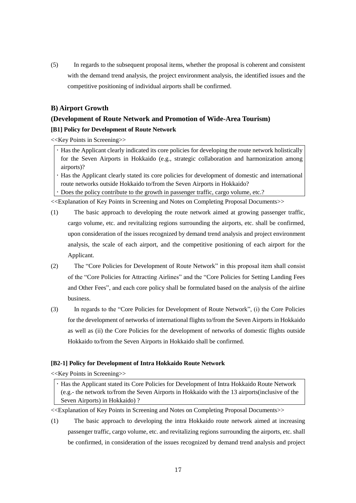(5) In regards to the subsequent proposal items, whether the proposal is coherent and consistent with the demand trend analysis, the project environment analysis, the identified issues and the competitive positioning of individual airports shall be confirmed.

# **B) Airport Growth**

# **(Development of Route Network and Promotion of Wide-Area Tourism)**

# **[B1] Policy for Development of Route Network**

<<Key Points in Screening>>

- Has the Applicant clearly indicated its core policies for developing the route network holistically for the Seven Airports in Hokkaido (e.g., strategic collaboration and harmonization among airports)?
- Has the Applicant clearly stated its core policies for development of domestic and international route networks outside Hokkaido to/from the Seven Airports in Hokkaido?
- Does the policy contribute to the growth in passenger traffic, cargo volume, etc.?

<<Explanation of Key Points in Screening and Notes on Completing Proposal Documents>>

- (1) The basic approach to developing the route network aimed at growing passenger traffic, cargo volume, etc. and revitalizing regions surrounding the airports, etc. shall be confirmed, upon consideration of the issues recognized by demand trend analysis and project environment analysis, the scale of each airport, and the competitive positioning of each airport for the Applicant.
- (2) The "Core Policies for Development of Route Network" in this proposal item shall consist of the "Core Policies for Attracting Airlines" and the "Core Policies for Setting Landing Fees and Other Fees", and each core policy shall be formulated based on the analysis of the airline business.
- (3) In regards to the "Core Policies for Development of Route Network", (i) the Core Policies for the development of networks of international flights to/from the Seven Airports in Hokkaido as well as (ii) the Core Policies for the development of networks of domestic flights outside Hokkaido to/from the Seven Airports in Hokkaido shall be confirmed.

# **[B2-1] Policy for Development of Intra Hokkaido Route Network**

<<Key Points in Screening>>

 Has the Applicant stated its Core Policies for Development of Intra Hokkaido Route Network (e.g.- the network to/from the Seven Airports in Hokkaido with the 13 airports(inclusive of the Seven Airports) in Hokkaido) ?

<<Explanation of Key Points in Screening and Notes on Completing Proposal Documents>>

(1) The basic approach to developing the intra Hokkaido route network aimed at increasing passenger traffic, cargo volume, etc. and revitalizing regions surrounding the airports, etc. shall be confirmed, in consideration of the issues recognized by demand trend analysis and project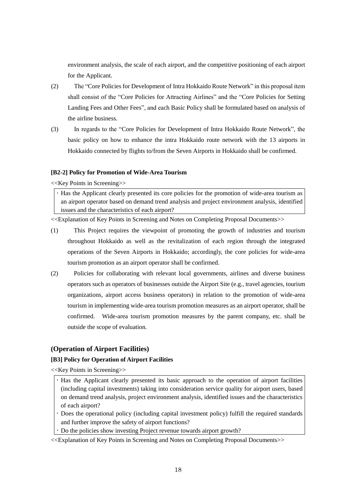environment analysis, the scale of each airport, and the competitive positioning of each airport for the Applicant.

- (2) The "Core Policies for Development of Intra Hokkaido Route Network" in this proposal item shall consist of the "Core Policies for Attracting Airlines" and the "Core Policies for Setting Landing Fees and Other Fees", and each Basic Policy shall be formulated based on analysis of the airline business.
- (3) In regards to the "Core Policies for Development of Intra Hokkaido Route Network", the basic policy on how to enhance the intra Hokkaido route network with the 13 airports in Hokkaido connected by flights to/from the Seven Airports in Hokkaido shall be confirmed.

# **[B2-2] Policy for Promotion of Wide-Area Tourism**

<<Key Points in Screening>>

 Has the Applicant clearly presented its core policies for the promotion of wide-area tourism as an airport operator based on demand trend analysis and project environment analysis, identified issues and the characteristics of each airport?

<<Explanation of Key Points in Screening and Notes on Completing Proposal Documents>>

- (1) This Project requires the viewpoint of promoting the growth of industries and tourism throughout Hokkaido as well as the revitalization of each region through the integrated operations of the Seven Airports in Hokkaido; accordingly, the core policies for wide-area tourism promotion as an airport operator shall be confirmed.
- (2) Policies for collaborating with relevant local governments, airlines and diverse business operators such as operators of businesses outside the Airport Site (e.g., travel agencies, tourism organizations, airport access business operators) in relation to the promotion of wide-area tourism in implementing wide-area tourism promotion measures as an airport operator, shall be confirmed. Wide-area tourism promotion measures by the parent company, etc. shall be outside the scope of evaluation.

# **(Operation of Airport Facilities)**

# **[B3] Policy for Operation of Airport Facilities**

<<Key Points in Screening>>

- Has the Applicant clearly presented its basic approach to the operation of airport facilities (including capital investments) taking into consideration service quality for airport users, based on demand trend analysis, project environment analysis, identified issues and the characteristics of each airport?
- Does the operational policy (including capital investment policy) fulfill the required standards and further improve the safety of airport functions?
- Do the policies show investing Project revenue towards airport growth?
- <<Explanation of Key Points in Screening and Notes on Completing Proposal Documents>>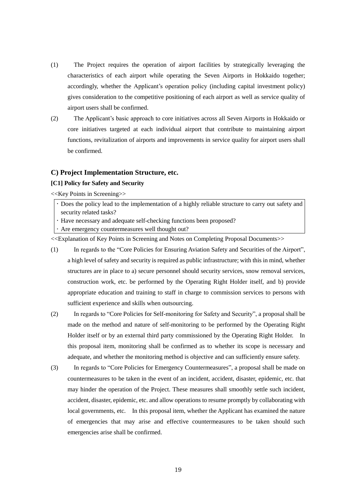- (1) The Project requires the operation of airport facilities by strategically leveraging the characteristics of each airport while operating the Seven Airports in Hokkaido together; accordingly, whether the Applicant's operation policy (including capital investment policy) gives consideration to the competitive positioning of each airport as well as service quality of airport users shall be confirmed.
- (2) The Applicant's basic approach to core initiatives across all Seven Airports in Hokkaido or core initiatives targeted at each individual airport that contribute to maintaining airport functions, revitalization of airports and improvements in service quality for airport users shall be confirmed.

#### **C) Project Implementation Structure, etc.**

#### **[C1] Policy for Safety and Security**

<<Key Points in Screening>>

 Does the policy lead to the implementation of a highly reliable structure to carry out safety and security related tasks?

Have necessary and adequate self-checking functions been proposed?

Are emergency countermeasures well thought out?

- (1) In regards to the "Core Policies for Ensuring Aviation Safety and Securities of the Airport", a high level of safety and security is required as public infrastructure; with this in mind, whether structures are in place to a) secure personnel should security services, snow removal services, construction work, etc. be performed by the Operating Right Holder itself, and b) provide appropriate education and training to staff in charge to commission services to persons with sufficient experience and skills when outsourcing.
- (2) In regards to "Core Policies for Self-monitoring for Safety and Security", a proposal shall be made on the method and nature of self-monitoring to be performed by the Operating Right Holder itself or by an external third party commissioned by the Operating Right Holder. In this proposal item, monitoring shall be confirmed as to whether its scope is necessary and adequate, and whether the monitoring method is objective and can sufficiently ensure safety.
- (3) In regards to "Core Policies for Emergency Countermeasures", a proposal shall be made on countermeasures to be taken in the event of an incident, accident, disaster, epidemic, etc. that may hinder the operation of the Project. These measures shall smoothly settle such incident, accident, disaster, epidemic, etc. and allow operations to resume promptly by collaborating with local governments, etc. In this proposal item, whether the Applicant has examined the nature of emergencies that may arise and effective countermeasures to be taken should such emergencies arise shall be confirmed.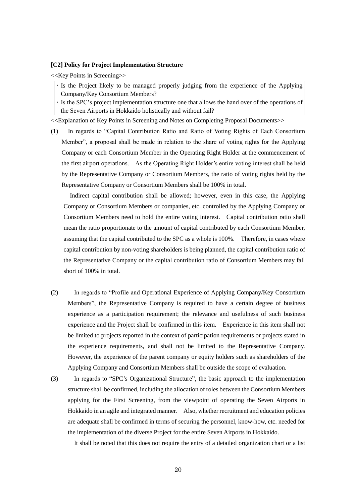### **[C2] Policy for Project Implementation Structure**

<<Key Points in Screening>>

If the Project likely to be managed properly judging from the experience of the Applying Company/Key Consortium Members?

If the SPC's project implementation structure one that allows the hand over of the operations of the Seven Airports in Hokkaido holistically and without fail?

<<Explanation of Key Points in Screening and Notes on Completing Proposal Documents>>

(1) In regards to "Capital Contribution Ratio and Ratio of Voting Rights of Each Consortium Member", a proposal shall be made in relation to the share of voting rights for the Applying Company or each Consortium Member in the Operating Right Holder at the commencement of the first airport operations. As the Operating Right Holder's entire voting interest shall be held by the Representative Company or Consortium Members, the ratio of voting rights held by the Representative Company or Consortium Members shall be 100% in total.

Indirect capital contribution shall be allowed; however, even in this case, the Applying Company or Consortium Members or companies, etc. controlled by the Applying Company or Consortium Members need to hold the entire voting interest. Capital contribution ratio shall mean the ratio proportionate to the amount of capital contributed by each Consortium Member, assuming that the capital contributed to the SPC as a whole is 100%. Therefore, in cases where capital contribution by non-voting shareholders is being planned, the capital contribution ratio of the Representative Company or the capital contribution ratio of Consortium Members may fall short of 100% in total.

- (2) In regards to "Profile and Operational Experience of Applying Company/Key Consortium Members", the Representative Company is required to have a certain degree of business experience as a participation requirement; the relevance and usefulness of such business experience and the Project shall be confirmed in this item. Experience in this item shall not be limited to projects reported in the context of participation requirements or projects stated in the experience requirements, and shall not be limited to the Representative Company. However, the experience of the parent company or equity holders such as shareholders of the Applying Company and Consortium Members shall be outside the scope of evaluation.
- (3) In regards to "SPC's Organizational Structure", the basic approach to the implementation structure shall be confirmed, including the allocation of roles between the Consortium Members applying for the First Screening, from the viewpoint of operating the Seven Airports in Hokkaido in an agile and integrated manner. Also, whether recruitment and education policies are adequate shall be confirmed in terms of securing the personnel, know-how, etc. needed for the implementation of the diverse Project for the entire Seven Airports in Hokkaido.

It shall be noted that this does not require the entry of a detailed organization chart or a list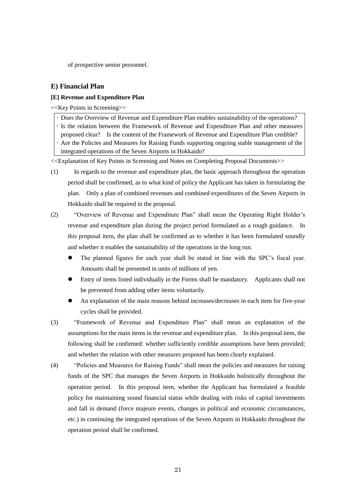of prospective senior personnel.

# **E) Financial Plan**

# **[E] Revenue and Expenditure Plan**

<<Key Points in Screening>>

- Does the Overview of Revenue and Expenditure Plan enables sustainability of the operations?
- Is the relation between the Framework of Revenue and Expenditure Plan and other measures
- proposed clear? Is the content of the Framework of Revenue and Expenditure Plan credible?
- Are the Policies and Measures for Raising Funds supporting ongoing stable management of the
- integrated operations of the Seven Airports in Hokkaido?

- (1) In regards to the revenue and expenditure plan, the basic approach throughout the operation period shall be confirmed, as to what kind of policy the Applicant has taken in formulating the plan. Only a plan of combined revenues and combined expenditures of the Seven Airports in Hokkaido shall be required in the proposal.
- (2) "Overview of Revenue and Expenditure Plan" shall mean the Operating Right Holder's revenue and expenditure plan during the project period formulated as a rough guidance. In this proposal item, the plan shall be confirmed as to whether it has been formulated soundly and whether it enables the sustainability of the operations in the long run.
	- The planned figures for each year shall be stated in line with the SPC's fiscal year. Amounts shall be presented in units of millions of yen.
	- Entry of items listed individually in the Forms shall be mandatory. Applicants shall not be prevented from adding other items voluntarily.
	- An explanation of the main reasons behind increases/decreases in each item for five-year cycles shall be provided.
- (3) "Framework of Revenue and Expenditure Plan" shall mean an explanation of the assumptions for the main items in the revenue and expenditure plan. In this proposal item, the following shall be confirmed: whether sufficiently credible assumptions have been provided; and whether the relation with other measures proposed has been clearly explained.
- (4) "Policies and Measures for Raising Funds" shall mean the policies and measures for raising funds of the SPC that manages the Seven Airports in Hokkaido holistically throughout the operation period. In this proposal item, whether the Applicant has formulated a feasible policy for maintaining sound financial status while dealing with risks of capital investments and fall in demand (force majeure events, changes in political and economic circumstances, etc.) in continuing the integrated operations of the Seven Airports in Hokkaido throughout the operation period shall be confirmed.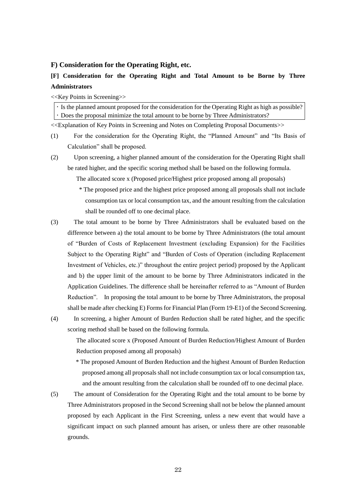# **F) Consideration for the Operating Right, etc.**

# **[F] Consideration for the Operating Right and Total Amount to be Borne by Three Administrators**

<<Key Points in Screening>>

Is the planned amount proposed for the consideration for the Operating Right as high as possible? Does the proposal minimize the total amount to be borne by Three Administrators?

<<Explanation of Key Points in Screening and Notes on Completing Proposal Documents>>

- (1) For the consideration for the Operating Right, the "Planned Amount" and "Its Basis of Calculation" shall be proposed.
- (2) Upon screening, a higher planned amount of the consideration for the Operating Right shall be rated higher, and the specific scoring method shall be based on the following formula.

The allocated score x (Proposed price/Highest price proposed among all proposals)

- \* The proposed price and the highest price proposed among all proposals shall not include consumption tax or local consumption tax, and the amount resulting from the calculation shall be rounded off to one decimal place.
- (3) The total amount to be borne by Three Administrators shall be evaluated based on the difference between a) the total amount to be borne by Three Administrators (the total amount of "Burden of Costs of Replacement Investment (excluding Expansion) for the Facilities Subject to the Operating Right" and "Burden of Costs of Operation (including Replacement Investment of Vehicles, etc.)" throughout the entire project period) proposed by the Applicant and b) the upper limit of the amount to be borne by Three Administrators indicated in the Application Guidelines. The difference shall be hereinafter referred to as "Amount of Burden Reduction". In proposing the total amount to be borne by Three Administrators, the proposal shall be made after checking E) Forms for Financial Plan (Form 19-E1) of the Second Screening.
- (4) In screening, a higher Amount of Burden Reduction shall be rated higher, and the specific scoring method shall be based on the following formula.

The allocated score x (Proposed Amount of Burden Reduction/Highest Amount of Burden Reduction proposed among all proposals)

\* The proposed Amount of Burden Reduction and the highest Amount of Burden Reduction proposed among all proposalsshall not include consumption tax or local consumption tax, and the amount resulting from the calculation shall be rounded off to one decimal place.

(5) The amount of Consideration for the Operating Right and the total amount to be borne by Three Administrators proposed in the Second Screening shall not be below the planned amount proposed by each Applicant in the First Screening, unless a new event that would have a significant impact on such planned amount has arisen, or unless there are other reasonable grounds.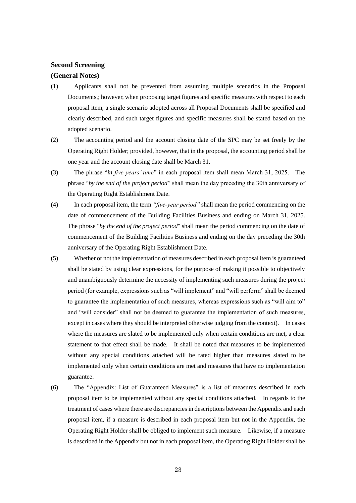# **Second Screening**

# **(General Notes)**

- (1) Applicants shall not be prevented from assuming multiple scenarios in the Proposal Documents,; however, when proposing target figures and specific measures with respect to each proposal item, a single scenario adopted across all Proposal Documents shall be specified and clearly described, and such target figures and specific measures shall be stated based on the adopted scenario.
- (2) The accounting period and the account closing date of the SPC may be set freely by the Operating Right Holder; provided, however, that in the proposal, the accounting period shall be one year and the account closing date shall be March 31.
- (3) The phrase "*in five years' time*" in each proposal item shall mean March 31, 2025. The phrase "*by the end of the project period*" shall mean the day preceding the 30th anniversary of the Operating Right Establishment Date.
- (4) In each proposal item, the term *"five-year period"* shall mean the period commencing on the date of commencement of the Building Facilities Business and ending on March 31, 2025. The phrase "*by the end of the project period*" shall mean the period commencing on the date of commencement of the Building Facilities Business and ending on the day preceding the 30th anniversary of the Operating Right Establishment Date.
- (5) Whether or not the implementation of measures described in each proposal item is guaranteed shall be stated by using clear expressions, for the purpose of making it possible to objectively and unambiguously determine the necessity of implementing such measures during the project period (for example, expressions such as "will implement" and "will perform" shall be deemed to guarantee the implementation of such measures, whereas expressions such as "will aim to" and "will consider" shall not be deemed to guarantee the implementation of such measures, except in cases where they should be interpreted otherwise judging from the context). In cases where the measures are slated to be implemented only when certain conditions are met, a clear statement to that effect shall be made. It shall be noted that measures to be implemented without any special conditions attached will be rated higher than measures slated to be implemented only when certain conditions are met and measures that have no implementation guarantee.
- (6) The "Appendix: List of Guaranteed Measures" is a list of measures described in each proposal item to be implemented without any special conditions attached. In regards to the treatment of cases where there are discrepancies in descriptions between the Appendix and each proposal item, if a measure is described in each proposal item but not in the Appendix, the Operating Right Holder shall be obliged to implement such measure. Likewise, if a measure is described in the Appendix but not in each proposal item, the Operating Right Holder shall be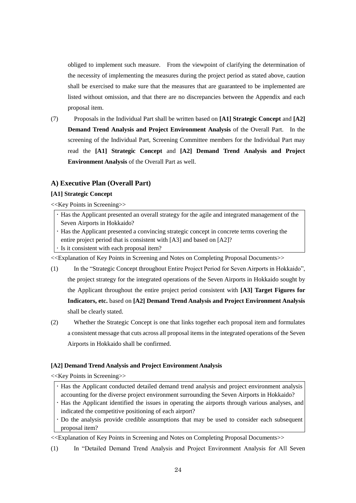obliged to implement such measure. From the viewpoint of clarifying the determination of the necessity of implementing the measures during the project period as stated above, caution shall be exercised to make sure that the measures that are guaranteed to be implemented are listed without omission, and that there are no discrepancies between the Appendix and each proposal item.

(7) Proposals in the Individual Part shall be written based on **[A1] Strategic Concept** and **[A2] Demand Trend Analysis and Project Environment Analysis** of the Overall Part. In the screening of the Individual Part, Screening Committee members for the Individual Part may read the **[A1] Strategic Concept** and **[A2] Demand Trend Analysis and Project Environment Analysis** of the Overall Part as well.

# **A) Executive Plan (Overall Part)**

# **[A1] Strategic Concept**

<<Key Points in Screening>>

Has the Applicant presented an overall strategy for the agile and integrated management of the Seven Airports in Hokkaido?

Has the Applicant presented a convincing strategic concept in concrete terms covering the entire project period that is consistent with [A3] and based on [A2]?

Is it consistent with each proposal item?

<<Explanation of Key Points in Screening and Notes on Completing Proposal Documents>>

- (1) In the "Strategic Concept throughout Entire Project Period for Seven Airports in Hokkaido", the project strategy for the integrated operations of the Seven Airports in Hokkaido sought by the Applicant throughout the entire project period consistent with **[A3] Target Figures for Indicators, etc.** based on **[A2] Demand Trend Analysis and Project Environment Analysis** shall be clearly stated.
- (2) Whether the Strategic Concept is one that links together each proposal item and formulates a consistent message that cuts across all proposal items in the integrated operations of the Seven Airports in Hokkaido shall be confirmed.

# **[A2] Demand Trend Analysis and Project Environment Analysis**

<<Key Points in Screening>>

- Has the Applicant conducted detailed demand trend analysis and project environment analysis accounting for the diverse project environment surrounding the Seven Airports in Hokkaido?
- Has the Applicant identified the issues in operating the airports through various analyses, and indicated the competitive positioning of each airport?
- Do the analysis provide credible assumptions that may be used to consider each subsequent proposal item?

<<Explanation of Key Points in Screening and Notes on Completing Proposal Documents>>

(1) In "Detailed Demand Trend Analysis and Project Environment Analysis for All Seven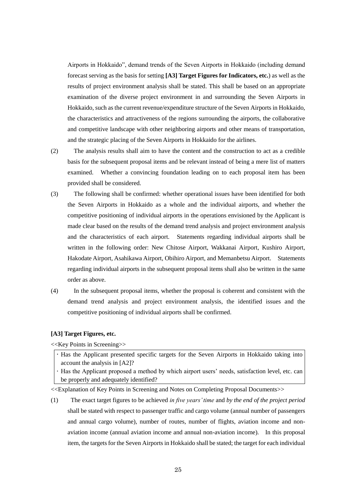Airports in Hokkaido", demand trends of the Seven Airports in Hokkaido (including demand forecast serving as the basis for setting **[A3] Target Figures for Indicators, etc.**) as well as the results of project environment analysis shall be stated. This shall be based on an appropriate examination of the diverse project environment in and surrounding the Seven Airports in Hokkaido, such as the current revenue/expenditure structure of the Seven Airports in Hokkaido, the characteristics and attractiveness of the regions surrounding the airports, the collaborative and competitive landscape with other neighboring airports and other means of transportation, and the strategic placing of the Seven Airports in Hokkaido for the airlines.

- (2) The analysis results shall aim to have the content and the construction to act as a credible basis for the subsequent proposal items and be relevant instead of being a mere list of matters examined. Whether a convincing foundation leading on to each proposal item has been provided shall be considered.
- (3) The following shall be confirmed: whether operational issues have been identified for both the Seven Airports in Hokkaido as a whole and the individual airports, and whether the competitive positioning of individual airports in the operations envisioned by the Applicant is made clear based on the results of the demand trend analysis and project environment analysis and the characteristics of each airport. Statements regarding individual airports shall be written in the following order: New Chitose Airport, Wakkanai Airport, Kushiro Airport, Hakodate Airport, Asahikawa Airport, Obihiro Airport, and Memanbetsu Airport. Statements regarding individual airports in the subsequent proposal items shall also be written in the same order as above.
- (4) In the subsequent proposal items, whether the proposal is coherent and consistent with the demand trend analysis and project environment analysis, the identified issues and the competitive positioning of individual airports shall be confirmed.

#### **[A3] Target Figures, etc.**

<<Key Points in Screening>>

- Has the Applicant presented specific targets for the Seven Airports in Hokkaido taking into account the analysis in [A2]?
- Has the Applicant proposed a method by which airport users' needs, satisfaction level, etc. can be properly and adequately identified?

<<Explanation of Key Points in Screening and Notes on Completing Proposal Documents>>

(1) The exact target figures to be achieved *in five years' time* and *by the end of the project period* shall be stated with respect to passenger traffic and cargo volume (annual number of passengers and annual cargo volume), number of routes, number of flights, aviation income and nonaviation income (annual aviation income and annual non-aviation income). In this proposal item, the targets for the Seven Airports in Hokkaido shall be stated; the target for each individual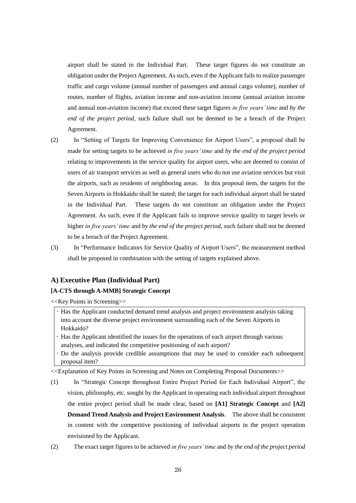airport shall be stated in the Individual Part. These target figures do not constitute an obligation under the Project Agreement. As such, even if the Applicant fails to realize passenger traffic and cargo volume (annual number of passengers and annual cargo volume), number of routes, number of flights, aviation income and non-aviation income (annual aviation income and annual non-aviation income) that exceed these target figures *in five years' time* and *by the end of the project period*, such failure shall not be deemed to be a breach of the Project Agreement.

- (2) In "Setting of Targets for Improving Convenience for Airport Users", a proposal shall be made for setting targets to be achieved *in five years' time* and *by the end of the project period* relating to improvements in the service quality for airport users, who are deemed to consist of users of air transport services as well as general users who do not use aviation services but visit the airports, such as residents of neighboring areas. In this proposal item, the targets for the Seven Airports in Hokkaido shall be stated; the target for each individual airport shall be stated in the Individual Part. These targets do not constitute an obligation under the Project Agreement. As such, even if the Applicant fails to improve service quality to target levels or higher *in five years' time* and *by the end of the project period*, such failure shall not be deemed to be a breach of the Project Agreement.
- (3) In "Performance Indicators for Service Quality of Airport Users", the measurement method shall be proposed in combination with the setting of targets explained above.

# **A) Executive Plan (Individual Part)**

# **[A-CTS through A-MMB] Strategic Concept**

<<Key Points in Screening>>

Has the Applicant conducted demand trend analysis and project environment analysis taking into account the diverse project environment surrounding each of the Seven Airports in Hokkaido?

- Has the Applicant identified the issues for the operations of each airport through various analyses, and indicated the competitive positioning of each airport?
- Do the analysis provide credible assumptions that may be used to consider each subsequent proposal item?

<<Explanation of Key Points in Screening and Notes on Completing Proposal Documents>>

(1) In "Strategic Concept throughout Entire Project Period for Each Individual Airport", the vision, philosophy, etc. sought by the Applicant in operating each individual airport throughout the entire project period shall be made clear, based on **[A1] Strategic Concept** and **[A2] Demand Trend Analysis and Project Environment Analysis**. The above shall be consistent in content with the competitive positioning of individual airports in the project operation envisioned by the Applicant.

(2) The exact target figures to be achieved *in five years' time* and *by the end of the project period*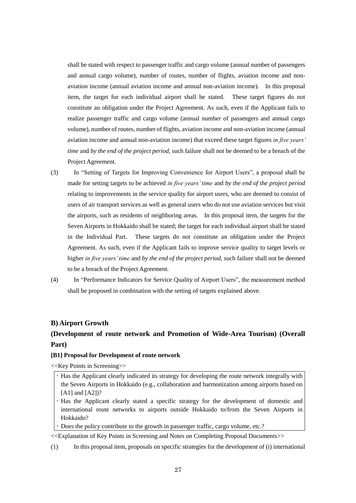shall be stated with respect to passenger traffic and cargo volume (annual number of passengers and annual cargo volume), number of routes, number of flights, aviation income and nonaviation income (annual aviation income and annual non-aviation income). In this proposal item, the target for each individual airport shall be stated. These target figures do not constitute an obligation under the Project Agreement. As such, even if the Applicant fails to realize passenger traffic and cargo volume (annual number of passengers and annual cargo volume), number of routes, number of flights, aviation income and non-aviation income (annual aviation income and annual non-aviation income) that exceed these target figures *in five years' time* and *by the end of the project period*, such failure shall not be deemed to be a breach of the Project Agreement.

- (3) In "Setting of Targets for Improving Convenience for Airport Users", a proposal shall be made for setting targets to be achieved *in five years' time* and *by the end of the project period* relating to improvements in the service quality for airport users, who are deemed to consist of users of air transport services as well as general users who do not use aviation services but visit the airports, such as residents of neighboring areas. In this proposal item, the targets for the Seven Airports in Hokkaido shall be stated; the target for each individual airport shall be stated in the Individual Part. These targets do not constitute an obligation under the Project Agreement. As such, even if the Applicant fails to improve service quality to target levels or higher *in five years' time* and *by the end of the project period*, such failure shall not be deemed to be a breach of the Project Agreement.
- (4) In "Performance Indicators for Service Quality of Airport Users", the measurement method shall be proposed in combination with the setting of targets explained above.

# **B) Airport Growth**

# **(Development of route network and Promotion of Wide-Area Tourism) (Overall Part)**

### **[B1] Proposal for Development of route network**

<<Key Points in Screening>>

- Has the Applicant clearly indicated its strategy for developing the route network integrally with the Seven Airports in Hokkaido (e.g., collaboration and harmonization among airports based on [A1] and [A2])?
- Has the Applicant clearly stated a specific strategy for the development of domestic and international route networks to airports outside Hokkaido to/from the Seven Airports in Hokkaido?
- Does the policy contribute to the growth in passenger traffic, cargo volume, etc.?

<<Explanation of Key Points in Screening and Notes on Completing Proposal Documents>>

(1) In this proposal item, proposals on specific strategies for the development of (i) international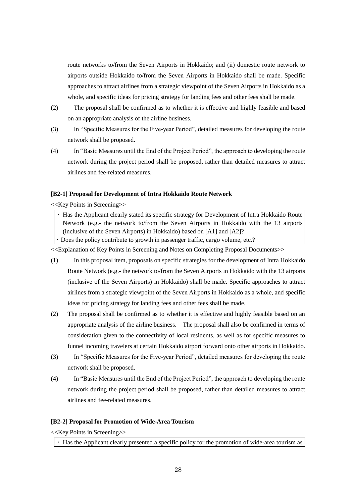route networks to/from the Seven Airports in Hokkaido; and (ii) domestic route network to airports outside Hokkaido to/from the Seven Airports in Hokkaido shall be made. Specific approaches to attract airlines from a strategic viewpoint of the Seven Airports in Hokkaido as a whole, and specific ideas for pricing strategy for landing fees and other fees shall be made.

- (2) The proposal shall be confirmed as to whether it is effective and highly feasible and based on an appropriate analysis of the airline business.
- (3) In "Specific Measures for the Five-year Period", detailed measures for developing the route network shall be proposed.
- (4) In "Basic Measures until the End of the Project Period", the approach to developing the route network during the project period shall be proposed, rather than detailed measures to attract airlines and fee-related measures.

#### **[B2-1] Proposal for Development of Intra Hokkaido Route Network**

<<Key Points in Screening>>

 Has the Applicant clearly stated its specific strategy for Development of Intra Hokkaido Route Network (e.g.- the network to/from the Seven Airports in Hokkaido with the 13 airports (inclusive of the Seven Airports) in Hokkaido) based on [A1] and [A2]?

Does the policy contribute to growth in passenger traffic, cargo volume, etc.?

<<Explanation of Key Points in Screening and Notes on Completing Proposal Documents>>

- (1) In this proposal item, proposals on specific strategies for the development of Intra Hokkaido Route Network (e.g.- the network to/from the Seven Airports in Hokkaido with the 13 airports (inclusive of the Seven Airports) in Hokkaido) shall be made. Specific approaches to attract airlines from a strategic viewpoint of the Seven Airports in Hokkaido as a whole, and specific ideas for pricing strategy for landing fees and other fees shall be made.
- (2) The proposal shall be confirmed as to whether it is effective and highly feasible based on an appropriate analysis of the airline business. The proposal shall also be confirmed in terms of consideration given to the connectivity of local residents, as well as for specific measures to funnel incoming travelers at certain Hokkaido airport forward onto other airports in Hokkaido.
- (3) In "Specific Measures for the Five-year Period", detailed measures for developing the route network shall be proposed.
- (4) In "Basic Measures until the End of the Project Period", the approach to developing the route network during the project period shall be proposed, rather than detailed measures to attract airlines and fee-related measures.

# **[B2-2] Proposal for Promotion of Wide-Area Tourism**

<<Key Points in Screening>>

Has the Applicant clearly presented a specific policy for the promotion of wide-area tourism as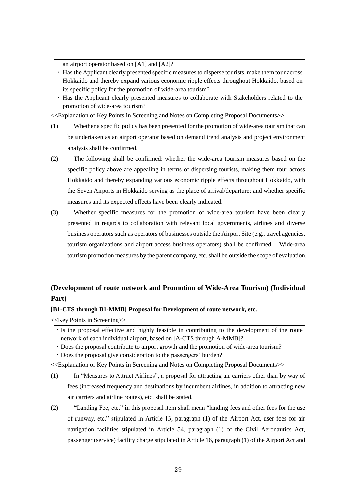an airport operator based on [A1] and [A2]?

 Has the Applicant clearly presented specific measures to disperse tourists, make them tour across Hokkaido and thereby expand various economic ripple effects throughout Hokkaido, based on its specific policy for the promotion of wide-area tourism?

 Has the Applicant clearly presented measures to collaborate with Stakeholders related to the promotion of wide-area tourism?

<<Explanation of Key Points in Screening and Notes on Completing Proposal Documents>>

- (1) Whether a specific policy has been presented for the promotion of wide-area tourism that can be undertaken as an airport operator based on demand trend analysis and project environment analysis shall be confirmed.
- (2) The following shall be confirmed: whether the wide-area tourism measures based on the specific policy above are appealing in terms of dispersing tourists, making them tour across Hokkaido and thereby expanding various economic ripple effects throughout Hokkaido, with the Seven Airports in Hokkaido serving as the place of arrival/departure; and whether specific measures and its expected effects have been clearly indicated.
- (3) Whether specific measures for the promotion of wide-area tourism have been clearly presented in regards to collaboration with relevant local governments, airlines and diverse business operators such as operators of businesses outside the Airport Site (e.g., travel agencies, tourism organizations and airport access business operators) shall be confirmed. Wide-area tourism promotion measures by the parent company, etc. shall be outside the scope of evaluation.

# **(Development of route network and Promotion of Wide-Area Tourism) (Individual Part)**

# **[B1-CTS through B1-MMB] Proposal for Development of route network, etc.**

<<Key Points in Screening>>

If the proposal effective and highly feasible in contributing to the development of the route network of each individual airport, based on [A-CTS through A-MMB]?

Does the proposal contribute to airport growth and the promotion of wide-area tourism?

Does the proposal give consideration to the passengers' burden?

- (1) In "Measures to Attract Airlines", a proposal for attracting air carriers other than by way of fees (increased frequency and destinations by incumbent airlines, in addition to attracting new air carriers and airline routes), etc. shall be stated.
- (2) "Landing Fee, etc." in this proposal item shall mean "landing fees and other fees for the use of runway, etc." stipulated in Article 13, paragraph (1) of the Airport Act, user fees for air navigation facilities stipulated in Article 54, paragraph (1) of the Civil Aeronautics Act, passenger (service) facility charge stipulated in Article 16, paragraph (1) of the Airport Act and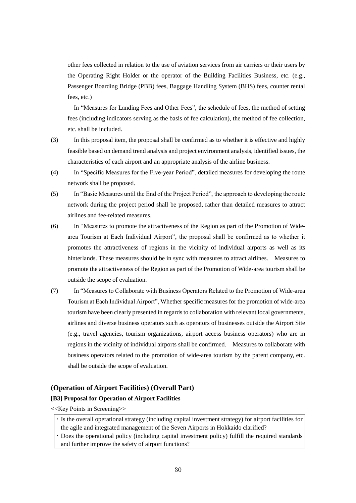other fees collected in relation to the use of aviation services from air carriers or their users by the Operating Right Holder or the operator of the Building Facilities Business, etc. (e.g., Passenger Boarding Bridge (PBB) fees, Baggage Handling System (BHS) fees, counter rental fees, etc.)

 In "Measures for Landing Fees and Other Fees", the schedule of fees, the method of setting fees (including indicators serving as the basis of fee calculation), the method of fee collection, etc. shall be included.

- (3) In this proposal item, the proposal shall be confirmed as to whether it is effective and highly feasible based on demand trend analysis and project environment analysis, identified issues, the characteristics of each airport and an appropriate analysis of the airline business.
- (4) In "Specific Measures for the Five-year Period", detailed measures for developing the route network shall be proposed.
- (5) In "Basic Measures until the End of the Project Period", the approach to developing the route network during the project period shall be proposed, rather than detailed measures to attract airlines and fee-related measures.
- (6) In "Measures to promote the attractiveness of the Region as part of the Promotion of Widearea Tourism at Each Individual Airport", the proposal shall be confirmed as to whether it promotes the attractiveness of regions in the vicinity of individual airports as well as its hinterlands. These measures should be in sync with measures to attract airlines. Measures to promote the attractiveness of the Region as part of the Promotion of Wide-area tourism shall be outside the scope of evaluation.
- (7) In "Measures to Collaborate with Business Operators Related to the Promotion of Wide-area Tourism at Each Individual Airport", Whether specific measures for the promotion of wide-area tourism have been clearly presented in regards to collaboration with relevant local governments, airlines and diverse business operators such as operators of businesses outside the Airport Site (e.g., travel agencies, tourism organizations, airport access business operators) who are in regions in the vicinity of individual airports shall be confirmed. Measures to collaborate with business operators related to the promotion of wide-area tourism by the parent company, etc. shall be outside the scope of evaluation.

# **(Operation of Airport Facilities) (Overall Part)**

# **[B3] Proposal for Operation of Airport Facilities**

<<Key Points in Screening>>

- If the overall operational strategy (including capital investment strategy) for airport facilities for
- the agile and integrated management of the Seven Airports in Hokkaido clarified?
- Does the operational policy (including capital investment policy) fulfill the required standards and further improve the safety of airport functions?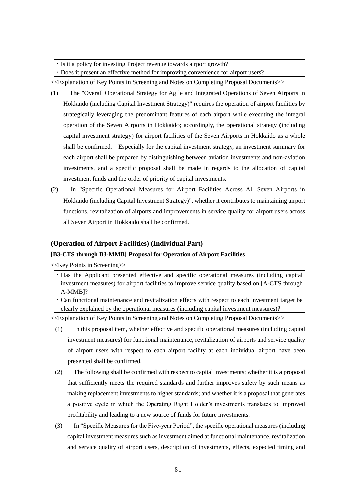Is it a policy for investing Project revenue towards airport growth?

Does it present an effective method for improving convenience for airport users?

<<Explanation of Key Points in Screening and Notes on Completing Proposal Documents>>

- (1) The "Overall Operational Strategy for Agile and Integrated Operations of Seven Airports in Hokkaido (including Capital Investment Strategy)" requires the operation of airport facilities by strategically leveraging the predominant features of each airport while executing the integral operation of the Seven Airports in Hokkaido; accordingly, the operational strategy (including capital investment strategy) for airport facilities of the Seven Airports in Hokkaido as a whole shall be confirmed. Especially for the capital investment strategy, an investment summary for each airport shall be prepared by distinguishing between aviation investments and non-aviation investments, and a specific proposal shall be made in regards to the allocation of capital investment funds and the order of priority of capital investments.
- (2) In "Specific Operational Measures for Airport Facilities Across All Seven Airports in Hokkaido (including Capital Investment Strategy)", whether it contributes to maintaining airport functions, revitalization of airports and improvements in service quality for airport users across all Seven Airport in Hokkaido shall be confirmed.

# **(Operation of Airport Facilities) (Individual Part)**

# **[B3-CTS through B3-MMB] Proposal for Operation of Airport Facilities**

<<Key Points in Screening>>

- Has the Applicant presented effective and specific operational measures (including capital investment measures) for airport facilities to improve service quality based on [A-CTS through A-MMB]?
- Can functional maintenance and revitalization effects with respect to each investment target be clearly explained by the operational measures (including capital investment measures)?

- (1) In this proposal item, whether effective and specific operational measures (including capital investment measures) for functional maintenance, revitalization of airports and service quality of airport users with respect to each airport facility at each individual airport have been presented shall be confirmed.
- (2) The following shall be confirmed with respect to capital investments; whether it is a proposal that sufficiently meets the required standards and further improves safety by such means as making replacement investments to higher standards; and whether it is a proposal that generates a positive cycle in which the Operating Right Holder's investments translates to improved profitability and leading to a new source of funds for future investments.
- (3) In "Specific Measures for the Five-year Period", the specific operational measures (including capital investment measures such as investment aimed at functional maintenance, revitalization and service quality of airport users, description of investments, effects, expected timing and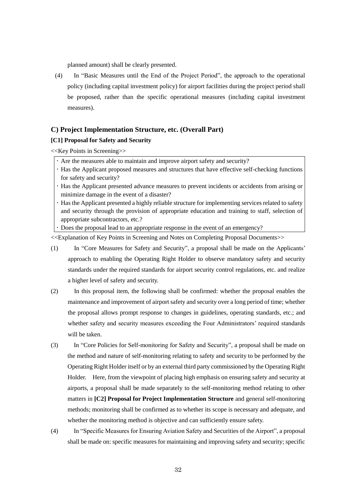planned amount) shall be clearly presented.

(4) In "Basic Measures until the End of the Project Period", the approach to the operational policy (including capital investment policy) for airport facilities during the project period shall be proposed, rather than the specific operational measures (including capital investment measures).

# **C) Project Implementation Structure, etc. (Overall Part)**

# **[C1] Proposal for Safety and Security**

<<Key Points in Screening>>

- Are the measures able to maintain and improve airport safety and security?
- Has the Applicant proposed measures and structures that have effective self-checking functions for safety and security?
- Has the Applicant presented advance measures to prevent incidents or accidents from arising or minimize damage in the event of a disaster?
- Has the Applicant presented a highly reliable structure for implementing services related to safety and security through the provision of appropriate education and training to staff, selection of appropriate subcontractors, etc.?
- Does the proposal lead to an appropriate response in the event of an emergency?

- (1) In "Core Measures for Safety and Security", a proposal shall be made on the Applicants' approach to enabling the Operating Right Holder to observe mandatory safety and security standards under the required standards for airport security control regulations, etc. and realize a higher level of safety and security.
- (2) In this proposal item, the following shall be confirmed: whether the proposal enables the maintenance and improvement of airport safety and security over a long period of time; whether the proposal allows prompt response to changes in guidelines, operating standards, etc.; and whether safety and security measures exceeding the Four Administrators' required standards will be taken.
- (3) In "Core Policies for Self-monitoring for Safety and Security", a proposal shall be made on the method and nature of self-monitoring relating to safety and security to be performed by the Operating Right Holder itself or by an external third party commissioned by the Operating Right Holder. Here, from the viewpoint of placing high emphasis on ensuring safety and security at airports, a proposal shall be made separately to the self-monitoring method relating to other matters in **[C2] Proposal for Project Implementation Structure** and general self-monitoring methods; monitoring shall be confirmed as to whether its scope is necessary and adequate, and whether the monitoring method is objective and can sufficiently ensure safety.
- (4) In "Specific Measures for Ensuring Aviation Safety and Securities of the Airport", a proposal shall be made on: specific measures for maintaining and improving safety and security; specific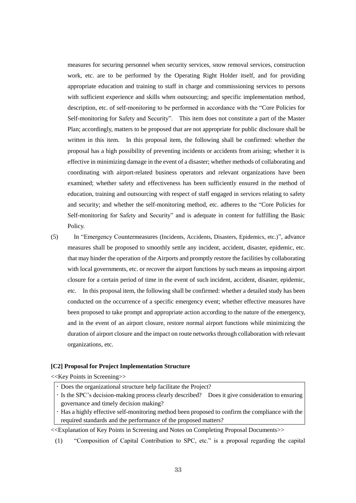measures for securing personnel when security services, snow removal services, construction work, etc. are to be performed by the Operating Right Holder itself, and for providing appropriate education and training to staff in charge and commissioning services to persons with sufficient experience and skills when outsourcing; and specific implementation method, description, etc. of self-monitoring to be performed in accordance with the "Core Policies for Self-monitoring for Safety and Security". This item does not constitute a part of the Master Plan; accordingly, matters to be proposed that are not appropriate for public disclosure shall be written in this item. In this proposal item, the following shall be confirmed: whether the proposal has a high possibility of preventing incidents or accidents from arising; whether it is effective in minimizing damage in the event of a disaster; whether methods of collaborating and coordinating with airport-related business operators and relevant organizations have been examined; whether safety and effectiveness has been sufficiently ensured in the method of education, training and outsourcing with respect of staff engaged in services relating to safety and security; and whether the self-monitoring method, etc. adheres to the "Core Policies for Self-monitoring for Safety and Security" and is adequate in content for fulfilling the Basic Policy.

(5) In "Emergency Countermeasures (Incidents, Accidents, Disasters, Epidemics, etc.)", advance measures shall be proposed to smoothly settle any incident, accident, disaster, epidemic, etc. that may hinder the operation of the Airports and promptly restore the facilities by collaborating with local governments, etc. or recover the airport functions by such means as imposing airport closure for a certain period of time in the event of such incident, accident, disaster, epidemic, etc. In this proposal item, the following shall be confirmed: whether a detailed study has been conducted on the occurrence of a specific emergency event; whether effective measures have been proposed to take prompt and appropriate action according to the nature of the emergency, and in the event of an airport closure, restore normal airport functions while minimizing the duration of airport closure and the impact on route networks through collaboration with relevant organizations, etc.

#### **[C2] Proposal for Project Implementation Structure**

<<Key Points in Screening>>

- Does the organizational structure help facilitate the Project?
- Is the SPC's decision-making process clearly described? Does it give consideration to ensuring governance and timely decision making?
- Has a highly effective self-monitoring method been proposed to confirm the compliance with the required standards and the performance of the proposed matters?

<<Explanation of Key Points in Screening and Notes on Completing Proposal Documents>>

(1) "Composition of Capital Contribution to SPC, etc." is a proposal regarding the capital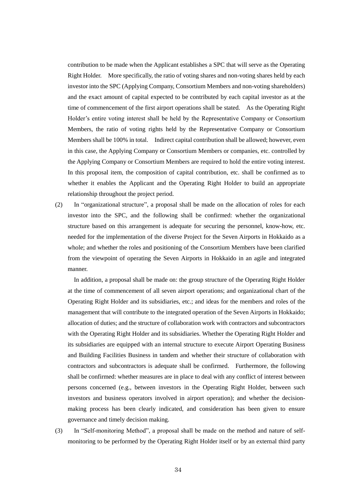contribution to be made when the Applicant establishes a SPC that will serve as the Operating Right Holder. More specifically, the ratio of voting shares and non-voting shares held by each investor into the SPC (Applying Company, Consortium Members and non-voting shareholders) and the exact amount of capital expected to be contributed by each capital investor as at the time of commencement of the first airport operations shall be stated. As the Operating Right Holder's entire voting interest shall be held by the Representative Company or Consortium Members, the ratio of voting rights held by the Representative Company or Consortium Members shall be 100% in total. Indirect capital contribution shall be allowed; however, even in this case, the Applying Company or Consortium Members or companies, etc. controlled by the Applying Company or Consortium Members are required to hold the entire voting interest. In this proposal item, the composition of capital contribution, etc. shall be confirmed as to whether it enables the Applicant and the Operating Right Holder to build an appropriate relationship throughout the project period.

(2) In "organizational structure", a proposal shall be made on the allocation of roles for each investor into the SPC, and the following shall be confirmed: whether the organizational structure based on this arrangement is adequate for securing the personnel, know-how, etc. needed for the implementation of the diverse Project for the Seven Airports in Hokkaido as a whole; and whether the roles and positioning of the Consortium Members have been clarified from the viewpoint of operating the Seven Airports in Hokkaido in an agile and integrated manner.

In addition, a proposal shall be made on: the group structure of the Operating Right Holder at the time of commencement of all seven airport operations; and organizational chart of the Operating Right Holder and its subsidiaries, etc.; and ideas for the members and roles of the management that will contribute to the integrated operation of the Seven Airports in Hokkaido; allocation of duties; and the structure of collaboration work with contractors and subcontractors with the Operating Right Holder and its subsidiaries. Whether the Operating Right Holder and its subsidiaries are equipped with an internal structure to execute Airport Operating Business and Building Facilities Business in tandem and whether their structure of collaboration with contractors and subcontractors is adequate shall be confirmed. Furthermore, the following shall be confirmed: whether measures are in place to deal with any conflict of interest between persons concerned (e.g., between investors in the Operating Right Holder, between such investors and business operators involved in airport operation); and whether the decisionmaking process has been clearly indicated, and consideration has been given to ensure governance and timely decision making.

(3) In "Self-monitoring Method", a proposal shall be made on the method and nature of selfmonitoring to be performed by the Operating Right Holder itself or by an external third party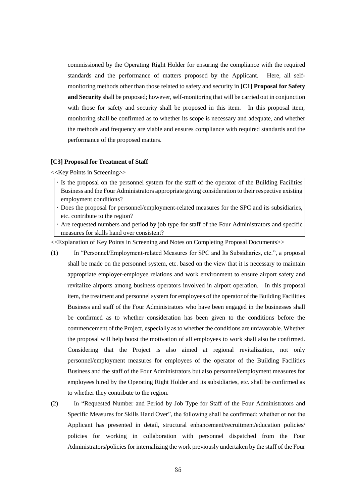commissioned by the Operating Right Holder for ensuring the compliance with the required standards and the performance of matters proposed by the Applicant. Here, all selfmonitoring methods other than those related to safety and security in **[C1] Proposal for Safety and Security** shall be proposed; however, self-monitoring that will be carried out in conjunction with those for safety and security shall be proposed in this item. In this proposal item, monitoring shall be confirmed as to whether its scope is necessary and adequate, and whether the methods and frequency are viable and ensures compliance with required standards and the performance of the proposed matters.

# **[C3] Proposal for Treatment of Staff**

<<Key Points in Screening>>

- Is the proposal on the personnel system for the staff of the operator of the Building Facilities Business and the Four Administrators appropriate giving consideration to their respective existing employment conditions?
- Does the proposal for personnel/employment-related measures for the SPC and its subsidiaries, etc. contribute to the region?
- Are requested numbers and period by job type for staff of the Four Administrators and specific measures for skills hand over consistent?

- (1) In "Personnel/Employment-related Measures for SPC and Its Subsidiaries, etc.", a proposal shall be made on the personnel system, etc. based on the view that it is necessary to maintain appropriate employer-employee relations and work environment to ensure airport safety and revitalize airports among business operators involved in airport operation. In this proposal item, the treatment and personnel system for employees of the operator of the Building Facilities Business and staff of the Four Administrators who have been engaged in the businesses shall be confirmed as to whether consideration has been given to the conditions before the commencement of the Project, especially as to whether the conditions are unfavorable. Whether the proposal will help boost the motivation of all employees to work shall also be confirmed. Considering that the Project is also aimed at regional revitalization, not only personnel/employment measures for employees of the operator of the Building Facilities Business and the staff of the Four Administrators but also personnel/employment measures for employees hired by the Operating Right Holder and its subsidiaries, etc. shall be confirmed as to whether they contribute to the region.
- (2) In "Requested Number and Period by Job Type for Staff of the Four Administrators and Specific Measures for Skills Hand Over", the following shall be confirmed: whether or not the Applicant has presented in detail, structural enhancement/recruitment/education policies/ policies for working in collaboration with personnel dispatched from the Four Administrators/policies for internalizing the work previously undertaken by the staff of the Four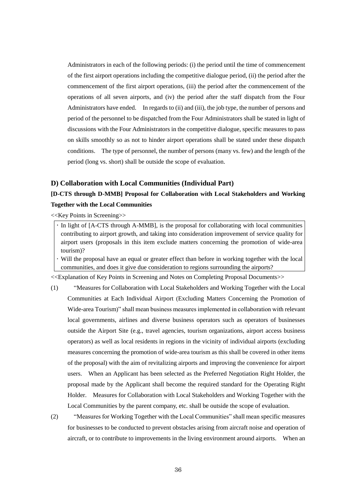Administrators in each of the following periods: (i) the period until the time of commencement of the first airport operations including the competitive dialogue period, (ii) the period after the commencement of the first airport operations, (iii) the period after the commencement of the operations of all seven airports, and (iv) the period after the staff dispatch from the Four Administrators have ended. In regards to (ii) and (iii), the job type, the number of persons and period of the personnel to be dispatched from the Four Administrators shall be stated in light of discussions with the Four Administrators in the competitive dialogue, specific measures to pass on skills smoothly so as not to hinder airport operations shall be stated under these dispatch conditions. The type of personnel, the number of persons (many vs. few) and the length of the period (long vs. short) shall be outside the scope of evaluation.

# **D) Collaboration with Local Communities (Individual Part)**

# **[D-CTS through D-MMB] Proposal for Collaboration with Local Stakeholders and Working Together with the Local Communities**

<<Key Points in Screening>>

In light of [A-CTS through A-MMB], is the proposal for collaborating with local communities contributing to airport growth, and taking into consideration improvement of service quality for airport users (proposals in this item exclude matters concerning the promotion of wide-area tourism)?

 Will the proposal have an equal or greater effect than before in working together with the local communities, and does it give due consideration to regions surrounding the airports?

- (1) "Measures for Collaboration with Local Stakeholders and Working Together with the Local Communities at Each Individual Airport (Excluding Matters Concerning the Promotion of Wide-area Tourism)" shall mean business measures implemented in collaboration with relevant local governments, airlines and diverse business operators such as operators of businesses outside the Airport Site (e.g., travel agencies, tourism organizations, airport access business operators) as well as local residents in regions in the vicinity of individual airports (excluding measures concerning the promotion of wide-area tourism as this shall be covered in other items of the proposal) with the aim of revitalizing airports and improving the convenience for airport users. When an Applicant has been selected as the Preferred Negotiation Right Holder, the proposal made by the Applicant shall become the required standard for the Operating Right Holder. Measures for Collaboration with Local Stakeholders and Working Together with the Local Communities by the parent company, etc. shall be outside the scope of evaluation.
- (2) "Measures for Working Together with the Local Communities" shall mean specific measures for businesses to be conducted to prevent obstacles arising from aircraft noise and operation of aircraft, or to contribute to improvements in the living environment around airports. When an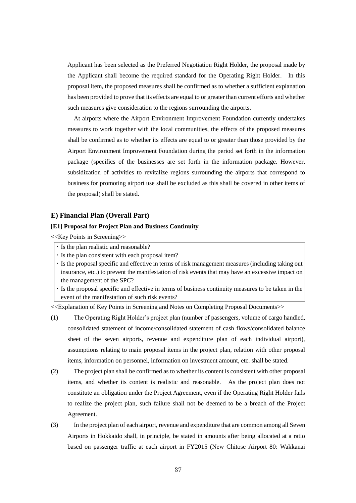Applicant has been selected as the Preferred Negotiation Right Holder, the proposal made by the Applicant shall become the required standard for the Operating Right Holder. In this proposal item, the proposed measures shall be confirmed as to whether a sufficient explanation has been provided to prove that its effects are equal to or greater than current efforts and whether such measures give consideration to the regions surrounding the airports.

At airports where the Airport Environment Improvement Foundation currently undertakes measures to work together with the local communities, the effects of the proposed measures shall be confirmed as to whether its effects are equal to or greater than those provided by the Airport Environment Improvement Foundation during the period set forth in the information package (specifics of the businesses are set forth in the information package. However, subsidization of activities to revitalize regions surrounding the airports that correspond to business for promoting airport use shall be excluded as this shall be covered in other items of the proposal) shall be stated.

# **E) Financial Plan (Overall Part)**

# **[E1] Proposal for Project Plan and Business Continuity**

<<Key Points in Screening>>

- Is the plan realistic and reasonable?
- Is the plan consistent with each proposal item?
- Is the proposal specific and effective in terms of risk management measures (including taking out insurance, etc.) to prevent the manifestation of risk events that may have an excessive impact on the management of the SPC?
- Is the proposal specific and effective in terms of business continuity measures to be taken in the event of the manifestation of such risk events?

- (1) The Operating Right Holder's project plan (number of passengers, volume of cargo handled, consolidated statement of income/consolidated statement of cash flows/consolidated balance sheet of the seven airports, revenue and expenditure plan of each individual airport), assumptions relating to main proposal items in the project plan, relation with other proposal items, information on personnel, information on investment amount, etc. shall be stated.
- (2) The project plan shall be confirmed as to whether its content is consistent with other proposal items, and whether its content is realistic and reasonable. As the project plan does not constitute an obligation under the Project Agreement, even if the Operating Right Holder fails to realize the project plan, such failure shall not be deemed to be a breach of the Project Agreement.
- (3) In the project plan of each airport, revenue and expenditure that are common among all Seven Airports in Hokkaido shall, in principle, be stated in amounts after being allocated at a ratio based on passenger traffic at each airport in FY2015 (New Chitose Airport 80: Wakkanai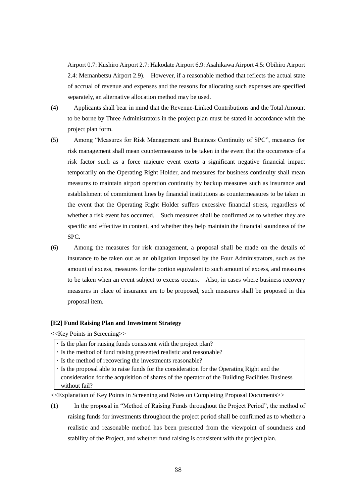Airport 0.7: Kushiro Airport 2.7: Hakodate Airport 6.9: Asahikawa Airport 4.5: Obihiro Airport 2.4: Memanbetsu Airport 2.9). However, if a reasonable method that reflects the actual state of accrual of revenue and expenses and the reasons for allocating such expenses are specified separately, an alternative allocation method may be used.

- (4) Applicants shall bear in mind that the Revenue-Linked Contributions and the Total Amount to be borne by Three Administrators in the project plan must be stated in accordance with the project plan form.
- (5) Among "Measures for Risk Management and Business Continuity of SPC", measures for risk management shall mean countermeasures to be taken in the event that the occurrence of a risk factor such as a force majeure event exerts a significant negative financial impact temporarily on the Operating Right Holder, and measures for business continuity shall mean measures to maintain airport operation continuity by backup measures such as insurance and establishment of commitment lines by financial institutions as countermeasures to be taken in the event that the Operating Right Holder suffers excessive financial stress, regardless of whether a risk event has occurred. Such measures shall be confirmed as to whether they are specific and effective in content, and whether they help maintain the financial soundness of the SPC.
- (6) Among the measures for risk management, a proposal shall be made on the details of insurance to be taken out as an obligation imposed by the Four Administrators, such as the amount of excess, measures for the portion equivalent to such amount of excess, and measures to be taken when an event subject to excess occurs. Also, in cases where business recovery measures in place of insurance are to be proposed, such measures shall be proposed in this proposal item.

# **[E2] Fund Raising Plan and Investment Strategy**

<<Key Points in Screening>>

- If the plan for raising funds consistent with the project plan?
- Is the method of fund raising presented realistic and reasonable?
- Is the method of recovering the investments reasonable?
- In the proposal able to raise funds for the consideration for the Operating Right and the consideration for the acquisition of shares of the operator of the Building Facilities Business without fail?

<<Explanation of Key Points in Screening and Notes on Completing Proposal Documents>>

(1) In the proposal in "Method of Raising Funds throughout the Project Period", the method of raising funds for investments throughout the project period shall be confirmed as to whether a realistic and reasonable method has been presented from the viewpoint of soundness and stability of the Project, and whether fund raising is consistent with the project plan.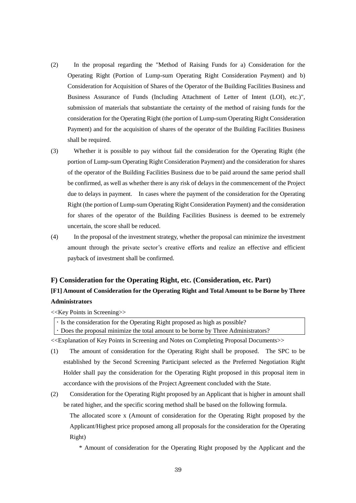- (2) In the proposal regarding the "Method of Raising Funds for a) Consideration for the Operating Right (Portion of Lump-sum Operating Right Consideration Payment) and b) Consideration for Acquisition of Shares of the Operator of the Building Facilities Business and Business Assurance of Funds (Including Attachment of Letter of Intent (LOI), etc.)", submission of materials that substantiate the certainty of the method of raising funds for the consideration for the Operating Right (the portion of Lump-sum Operating Right Consideration Payment) and for the acquisition of shares of the operator of the Building Facilities Business shall be required.
- (3) Whether it is possible to pay without fail the consideration for the Operating Right (the portion of Lump-sum Operating Right Consideration Payment) and the consideration for shares of the operator of the Building Facilities Business due to be paid around the same period shall be confirmed, as well as whether there is any risk of delays in the commencement of the Project due to delays in payment. In cases where the payment of the consideration for the Operating Right (the portion of Lump-sum Operating Right Consideration Payment) and the consideration for shares of the operator of the Building Facilities Business is deemed to be extremely uncertain, the score shall be reduced.
- (4) In the proposal of the investment strategy, whether the proposal can minimize the investment amount through the private sector's creative efforts and realize an effective and efficient payback of investment shall be confirmed.

# **F) Consideration for the Operating Right, etc. (Consideration, etc. Part)**

# **[F1] Amount of Consideration for the Operating Right and Total Amount to be Borne by Three Administrators**

<<Key Points in Screening>>

| $\cdot$ Is the consideration for the Operating Right proposed as high as possible? |
|------------------------------------------------------------------------------------|
| . Does the proposal minimize the total amount to be borne by Three Administrators? |

<<Explanation of Key Points in Screening and Notes on Completing Proposal Documents>>

- (1) The amount of consideration for the Operating Right shall be proposed. The SPC to be established by the Second Screening Participant selected as the Preferred Negotiation Right Holder shall pay the consideration for the Operating Right proposed in this proposal item in accordance with the provisions of the Project Agreement concluded with the State.
- (2) Consideration for the Operating Right proposed by an Applicant that is higher in amount shall be rated higher, and the specific scoring method shall be based on the following formula.

The allocated score x (Amount of consideration for the Operating Right proposed by the Applicant/Highest price proposed among all proposals for the consideration for the Operating Right)

\* Amount of consideration for the Operating Right proposed by the Applicant and the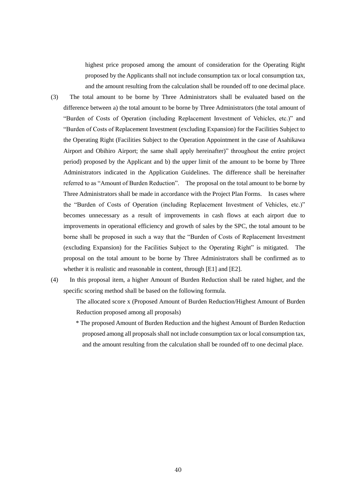highest price proposed among the amount of consideration for the Operating Right proposed by the Applicants shall not include consumption tax or local consumption tax, and the amount resulting from the calculation shall be rounded off to one decimal place.

- (3) The total amount to be borne by Three Administrators shall be evaluated based on the difference between a) the total amount to be borne by Three Administrators (the total amount of "Burden of Costs of Operation (including Replacement Investment of Vehicles, etc.)" and "Burden of Costs of Replacement Investment (excluding Expansion) for the Facilities Subject to the Operating Right (Facilities Subject to the Operation Appointment in the case of Asahikawa Airport and Obihiro Airport; the same shall apply hereinafter)" throughout the entire project period) proposed by the Applicant and b) the upper limit of the amount to be borne by Three Administrators indicated in the Application Guidelines. The difference shall be hereinafter referred to as "Amount of Burden Reduction". The proposal on the total amount to be borne by Three Administrators shall be made in accordance with the Project Plan Forms. In cases where the "Burden of Costs of Operation (including Replacement Investment of Vehicles, etc.)" becomes unnecessary as a result of improvements in cash flows at each airport due to improvements in operational efficiency and growth of sales by the SPC, the total amount to be borne shall be proposed in such a way that the "Burden of Costs of Replacement Investment (excluding Expansion) for the Facilities Subject to the Operating Right" is mitigated. The proposal on the total amount to be borne by Three Administrators shall be confirmed as to whether it is realistic and reasonable in content, through [E1] and [E2].
- (4) In this proposal item, a higher Amount of Burden Reduction shall be rated higher, and the specific scoring method shall be based on the following formula.
	- The allocated score x (Proposed Amount of Burden Reduction/Highest Amount of Burden Reduction proposed among all proposals)
	- \* The proposed Amount of Burden Reduction and the highest Amount of Burden Reduction proposed among all proposalsshall not include consumption tax or local consumption tax, and the amount resulting from the calculation shall be rounded off to one decimal place.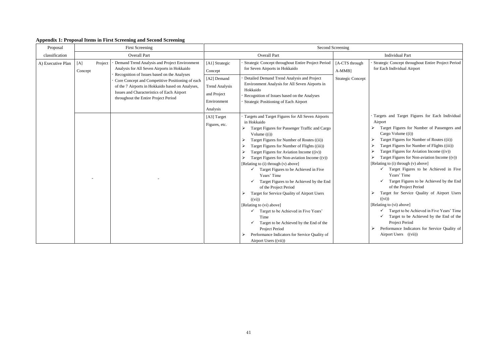ategic Concept throughout Entire Project Period Each Individual Airport

- gets and Target Figures for Each Individual port
- Target Figures for Number of Passengers and Cargo Volume ((i))
- Target Figures for Number of Routes ((ii))
- Target Figures for Number of Flights ((iii))
- Target Figures for Aviation Income ((iv))
- Target Figures for Non-aviation Income ((v))  $\frac{(\text{diag to (i) through (v) above})}{(\text{diag to (i) through (v) above})}$
- $\checkmark$  Target Figures to be Achieved in Five Years' Time
- $\checkmark$  Target Figures to be Achieved by the End of the Project Period
- Target for Service Quality of Airport Users  $((vi))$
- $\text{ting to (vi) above}$ ]
- $\checkmark$  Target to be Achieved in Five Years' Time
- $\checkmark$  Target to be Achieved by the End of the Project Period
- Performance Indicators for Service Quality of Airport Users ((vii))

# <span id="page-40-0"></span>**Appendix 1: Proposal Items in First Screening and Second Screening**

| Proposal          |                           | <b>First Screening</b>                                                                                                                                                                                                                    |                                                                                |                                                                                                                                                                                                                                                                                                                                                                                                                                                                                                                                                                                                                                                                                                                                                                                                                                        | <b>Second Screening</b>     |                                                                                                                                                                                                                                                                                                                                                                                                                                    |
|-------------------|---------------------------|-------------------------------------------------------------------------------------------------------------------------------------------------------------------------------------------------------------------------------------------|--------------------------------------------------------------------------------|----------------------------------------------------------------------------------------------------------------------------------------------------------------------------------------------------------------------------------------------------------------------------------------------------------------------------------------------------------------------------------------------------------------------------------------------------------------------------------------------------------------------------------------------------------------------------------------------------------------------------------------------------------------------------------------------------------------------------------------------------------------------------------------------------------------------------------------|-----------------------------|------------------------------------------------------------------------------------------------------------------------------------------------------------------------------------------------------------------------------------------------------------------------------------------------------------------------------------------------------------------------------------------------------------------------------------|
| classification    |                           | <b>Overall Part</b>                                                                                                                                                                                                                       |                                                                                | <b>Overall Part</b>                                                                                                                                                                                                                                                                                                                                                                                                                                                                                                                                                                                                                                                                                                                                                                                                                    |                             | <b>Individual Part</b>                                                                                                                                                                                                                                                                                                                                                                                                             |
| A) Executive Plan | Project<br>[A]<br>Concept | Demand Trend Analysis and Project Environment<br>Analysis for All Seven Airports in Hokkaido                                                                                                                                              | [A1] Strategic<br>Concept                                                      | Strategic Concept throughout Entire Project Period<br>for Seven Airports in Hokkaido                                                                                                                                                                                                                                                                                                                                                                                                                                                                                                                                                                                                                                                                                                                                                   | [A-CTS through<br>$A-MMB$ ] | Strategic Concept thro<br>for Each Individual Ai                                                                                                                                                                                                                                                                                                                                                                                   |
|                   |                           | Recognition of Issues based on the Analyses<br>Core Concept and Competitive Positioning of each<br>of the 7 Airports in Hokkaido based on Analyses,<br>Issues and Characteristics of Each Airport<br>throughout the Entire Project Period | [A2] Demand<br><b>Trend Analysis</b><br>and Project<br>Environment<br>Analysis | Detailed Demand Trend Analysis and Project<br>Environment Analysis for All Seven Airports in<br>Hokkaido<br>Recognition of Issues based on the Analyses<br>Strategic Positioning of Each Airport                                                                                                                                                                                                                                                                                                                                                                                                                                                                                                                                                                                                                                       | <b>Strategic Concept</b>    |                                                                                                                                                                                                                                                                                                                                                                                                                                    |
|                   |                           |                                                                                                                                                                                                                                           | [A3] Target<br>Figures, etc.                                                   | Targets and Target Figures for All Seven Airports<br>in Hokkaido<br>Target Figures for Passenger Traffic and Cargo<br>➤<br>Volume $((i))$<br>Target Figures for Number of Routes ((ii))<br>Target Figures for Number of Flights ((iii))<br>Target Figures for Aviation Income ((iv))<br>Target Figures for Non-aviation Income $((v))$<br>[Relating to (i) through (v) above]<br>Target Figures to be Achieved in Five<br>$\checkmark$<br>Years' Time<br>Target Figures to be Achieved by the End<br>$\checkmark$<br>of the Project Period<br>Target for Service Quality of Airport Users<br>((vi))<br>[Relating to (vi) above]<br>Target to be Achieved in Five Years'<br>$\checkmark$<br>Time<br>Target to be Achieved by the End of the<br>Project Period<br>Performance Indicators for Service Quality of<br>Airport Users ((vii)) |                             | Targets and Target I<br>Airport<br>Target Figures for<br>Cargo Volume ((i)<br>Target Figures for<br>Target Figures for<br>Target Figures for<br>Target Figures for<br>[Relating to (i) through (<br>Target Figur<br>Years' Time<br><b>Target Figure</b><br>of the Project<br>Target for Servic<br>((vi))<br>[Relating to (vi) above]<br>Target to be A<br>Target to be<br>Project Period<br>Performance Indic<br>Airport Users ((v |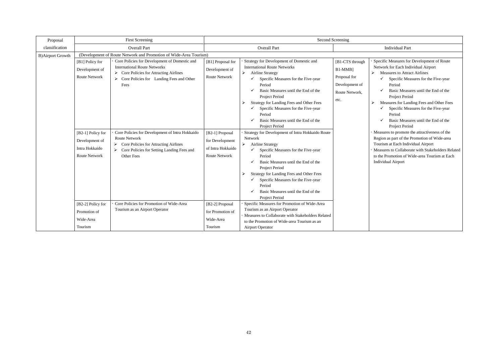# Individual Part

cific Measures for Development of Route work for Each Individual Airport

Measures to Attract Airlines

- $\checkmark$  Specific Measures for the Five-year Period
- Basic Measures until the End of the Project Period
- Measures for Landing Fees and Other Fees
- $\checkmark$  Specific Measures for the Five-year Period
- $\checkmark$  Basic Measures until the End of the Project Period
- asures to promote the attractiveness of the ion as part of the Promotion of Wide-area rism at Each Individual Airport
- asures to Collaborate with Stakeholders Related the Promotion of Wide-area Tourism at Each vidual Airport

| Proposal                |                                                                        | <b>First Screening</b>                                                                                                                                                            |                                                                          |                                                                                                                                                                                                                                                                                                                                                                                                      | <b>Second Screening</b>                                                                |                                                              |
|-------------------------|------------------------------------------------------------------------|-----------------------------------------------------------------------------------------------------------------------------------------------------------------------------------|--------------------------------------------------------------------------|------------------------------------------------------------------------------------------------------------------------------------------------------------------------------------------------------------------------------------------------------------------------------------------------------------------------------------------------------------------------------------------------------|----------------------------------------------------------------------------------------|--------------------------------------------------------------|
| classification          |                                                                        | <b>Overall Part</b>                                                                                                                                                               |                                                                          | <b>Overall Part</b>                                                                                                                                                                                                                                                                                                                                                                                  |                                                                                        |                                                              |
| <b>B)Airport Growth</b> |                                                                        | (Development of Route Network and Promotion of Wide-Area Tourism)                                                                                                                 |                                                                          |                                                                                                                                                                                                                                                                                                                                                                                                      |                                                                                        |                                                              |
|                         | [B1] Policy for<br>Development of<br><b>Route Network</b>              | Core Policies for Development of Domestic and<br><b>International Route Networks</b><br>Core Policies for Attracting Airlines<br>Core Policies for Landing Fees and Other<br>Fees | [B1] Proposal for<br>Development of<br><b>Route Network</b>              | Strategy for Development of Domestic and<br><b>International Route Networks</b><br><b>Airline Strategy</b><br>➤<br>Specific Measures for the Five-year<br>Period<br>Basic Measures until the End of the<br>Project Period<br>Strategy for Landing Fees and Other Fees<br>➤<br>Specific Measures for the Five-year<br>Period<br>Basic Measures until the End of the<br>Project Period                 | [B1-CTS through<br>B1-MMB]<br>Proposal for<br>Development of<br>Route Network,<br>etc. | Spec<br>Netw<br>> 1<br>$\blacktriangleright$<br>$\mathbf{N}$ |
|                         | [B2-1] Policy for<br>Development of<br>Intra Hokkaido<br>Route Network | Core Policies for Development of Intra Hokkaido<br><b>Route Network</b><br>Core Policies for Attracting Airlines<br>Core Policies for Setting Landing Fees and<br>Other Fees      | [B2-1] Proposal<br>for Development<br>of Intra Hokkaido<br>Route Network | Strategy for Development of Intra Hokkaido Route<br>Network<br>Airline Strategy<br>$\blacktriangleright$<br>Specific Measures for the Five-year<br>Period<br>Basic Measures until the End of the<br>✓<br>Project Period<br><b>Strategy for Landing Fees and Other Fees</b><br>Specific Measures for the Five-year<br>$\checkmark$<br>Period<br>Basic Measures until the End of the<br>Project Period |                                                                                        | Meas<br>Regi<br>Tour<br>Meas<br>to the<br>Indiy              |
|                         | [B2-2] Policy for<br>Promotion of<br>Wide-Area<br>Tourism              | Core Policies for Promotion of Wide-Area<br>Tourism as an Airport Operator                                                                                                        | [B2-2] Proposal<br>for Promotion of<br>Wide-Area<br>Tourism              | Specific Measures for Promotion of Wide-Area<br>Tourism as an Airport Operator<br>Measures to Collaborate with Stakeholders Related<br>to the Promotion of Wide-area Tourism as an<br><b>Airport Operator</b>                                                                                                                                                                                        |                                                                                        |                                                              |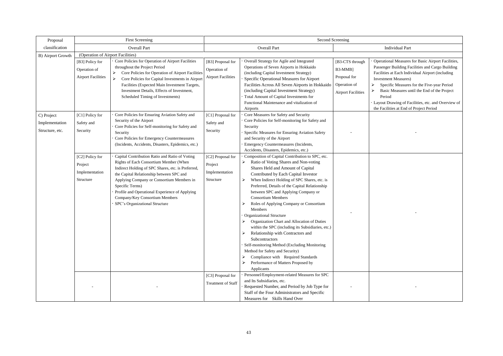# Individual Part

erational Measures for Basic Airport Facilities, senger Building Facilities and Cargo Building rilities at Each Individual Airport (including estment Measures)

 Specific Measures for the Five-year Period Basic Measures until the End of the Project Period

yout Drawing of Facilities, etc. and Overview of Facilities at End of Project Period

| Proposal                                        |                                                              | <b>First Screening</b>                                                                                                                                                                                                                                                                                                                                                           | <b>Second Screening</b>                                                                                       |                                                                                                                                                                                                                                                                                                                                                                                                                                                                                                                                                                                                                                                                                                                                                                                                                                                                                                                                                                              |                                                                                         |                                                                                                                                                                                                                                                       |
|-------------------------------------------------|--------------------------------------------------------------|----------------------------------------------------------------------------------------------------------------------------------------------------------------------------------------------------------------------------------------------------------------------------------------------------------------------------------------------------------------------------------|---------------------------------------------------------------------------------------------------------------|------------------------------------------------------------------------------------------------------------------------------------------------------------------------------------------------------------------------------------------------------------------------------------------------------------------------------------------------------------------------------------------------------------------------------------------------------------------------------------------------------------------------------------------------------------------------------------------------------------------------------------------------------------------------------------------------------------------------------------------------------------------------------------------------------------------------------------------------------------------------------------------------------------------------------------------------------------------------------|-----------------------------------------------------------------------------------------|-------------------------------------------------------------------------------------------------------------------------------------------------------------------------------------------------------------------------------------------------------|
| classification                                  |                                                              | <b>Overall Part</b>                                                                                                                                                                                                                                                                                                                                                              |                                                                                                               | <b>Overall Part</b>                                                                                                                                                                                                                                                                                                                                                                                                                                                                                                                                                                                                                                                                                                                                                                                                                                                                                                                                                          |                                                                                         | <b>Individual Part</b>                                                                                                                                                                                                                                |
| B) Airport Growth                               | (Operation of Airport Facilities)                            |                                                                                                                                                                                                                                                                                                                                                                                  |                                                                                                               |                                                                                                                                                                                                                                                                                                                                                                                                                                                                                                                                                                                                                                                                                                                                                                                                                                                                                                                                                                              |                                                                                         |                                                                                                                                                                                                                                                       |
|                                                 | [B3] Policy for<br>Operation of<br><b>Airport Facilities</b> | Core Policies for Operation of Airport Facilities<br>throughout the Project Period<br>Core Policies for Operation of Airport Facilities<br>Core Policies for Capital Investments in Airport<br>➤<br>Facilities (Expected Main Investment Targets,<br>Investment Details, Effects of Investment,<br>Scheduled Timing of Investments)                                              | [B3] Proposal for<br>Operation of<br><b>Airport Facilities</b>                                                | Overall Strategy for Agile and Integrated<br>Operations of Seven Airports in Hokkaido<br>(including Capital Investment Strategy)<br>Specific Operational Measures for Airport<br>Facilities Across All Seven Airports in Hokkaido<br>(including Capital Investment Strategy)<br>Total Amount of Capital Investments for<br>Functional Maintenance and vitalization of<br>Airports                                                                                                                                                                                                                                                                                                                                                                                                                                                                                                                                                                                            | [B3-CTS through<br>B3-MMB]<br>Proposal for<br>Operation of<br><b>Airport Facilities</b> | <b>Operational Measures for</b><br>Passenger Building Facil<br>Facilities at Each Individ<br><b>Investment Measures</b> )<br>Specific Measures fo<br><b>Basic Measures until</b><br>Period<br>Layout Drawing of Facili<br>the Facilities at End of Pr |
| C) Project<br>Implementation<br>Structure, etc. | [C1] Policy for<br>Safety and<br>Security                    | Core Policies for Ensuring Aviation Safety and<br>Security of the Airport<br>Core Policies for Self-monitoring for Safety and<br>Security<br>Core Policies for Emergency Countermeasures<br>(Incidents, Accidents, Disasters, Epidemics, etc.)                                                                                                                                   | [C1] Proposal for<br>Safety and<br>Security                                                                   | Core Measures for Safety and Security<br>Core Policies for Self-monitoring for Safety and<br>Security<br>Specific Measures for Ensuring Aviation Safety<br>and Security of the Airport<br>Emergency Countermeasures (Incidents,<br>Accidents, Disasters, Epidemics, etc.)                                                                                                                                                                                                                                                                                                                                                                                                                                                                                                                                                                                                                                                                                                    |                                                                                         |                                                                                                                                                                                                                                                       |
|                                                 | [C2] Policy for<br>Project<br>Implementation<br>Structure    | Capital Contribution Ratio and Ratio of Voting<br>Rights of Each Consortium Member (When<br>Indirect Holding of SPC Shares, etc. is Preferred,<br>the Capital Relationship between SPC and<br>Applying Company or Consortium Members in<br>Specific Terms)<br>Profile and Operational Experience of Applying<br>Company/Key Consortium Members<br>SPC's Organizational Structure | [C2] Proposal for<br>Project<br>Implementation<br>Structure<br>[C3] Proposal for<br><b>Treatment of Staff</b> | Composition of Capital Contribution to SPC, etc.<br>Ratio of Voting Shares and Non-voting<br>Shares Held and Amount of Capital<br>Contributed by Each Capital Investor<br>When Indirect Holding of SPC Shares, etc. is<br>➤<br>Preferred, Details of the Capital Relationship<br>between SPC and Applying Company or<br><b>Consortium Members</b><br>Roles of Applying Company or Consortium<br>Members<br><b>Organizational Structure</b><br>Organization Chart and Allocation of Duties<br>within the SPC (including its Subsidiaries, etc.)<br>Relationship with Contractors and<br>➤<br>Subcontractors<br>Self-monitoring Method (Excluding Monitoring<br>Method for Safety and Security)<br>Compliance with Required Standards<br>➤<br>Performance of Matters Proposed by<br>Applicants<br>Personnel/Employment-related Measures for SPC<br>and Its Subsidiaries, etc.<br>Requested Number, and Period by Job Type for<br>Staff of the Four Administrators and Specific |                                                                                         |                                                                                                                                                                                                                                                       |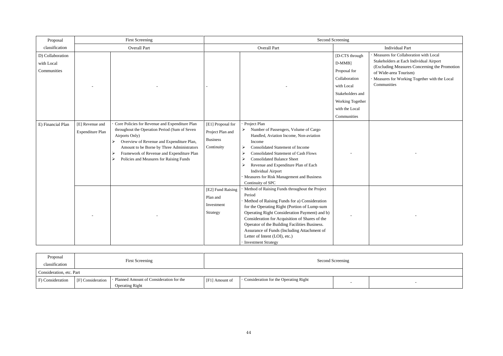| Proposal                                      |                                     | <b>First Screening</b>                                                                                                                                                                                                                                                                                              |                                                                        |                                                                                                                                                                                                                                                                                                                                                                                                                            | <b>Second Screening</b>                                                                                                                             |                                                                                                                                              |  |
|-----------------------------------------------|-------------------------------------|---------------------------------------------------------------------------------------------------------------------------------------------------------------------------------------------------------------------------------------------------------------------------------------------------------------------|------------------------------------------------------------------------|----------------------------------------------------------------------------------------------------------------------------------------------------------------------------------------------------------------------------------------------------------------------------------------------------------------------------------------------------------------------------------------------------------------------------|-----------------------------------------------------------------------------------------------------------------------------------------------------|----------------------------------------------------------------------------------------------------------------------------------------------|--|
| classification                                |                                     | <b>Overall Part</b>                                                                                                                                                                                                                                                                                                 |                                                                        | <b>Overall Part</b>                                                                                                                                                                                                                                                                                                                                                                                                        | <b>Individual Part</b>                                                                                                                              |                                                                                                                                              |  |
| D) Collaboration<br>with Local<br>Communities |                                     |                                                                                                                                                                                                                                                                                                                     |                                                                        |                                                                                                                                                                                                                                                                                                                                                                                                                            | [D-CTS through<br>$D-MMB$ ]<br>Proposal for<br>Collaboration<br>with Local<br>Stakeholders and<br>Working Together<br>with the Local<br>Communities | Measures for Collabor<br>Stakeholders at Each I<br>(Excluding Measures<br>of Wide-area Tourisn<br><b>Measures for Working</b><br>Communities |  |
| E) Financial Plan                             | [E] Revenue and<br>Expenditure Plan | Core Policies for Revenue and Expenditure Plan<br>throughout the Operation Period (Sum of Seven<br>Airports Only)<br>Overview of Revenue and Expenditure Plan,<br>➤<br>Amount to be Borne by Three Administrators<br>Framework of Revenue and Expenditure Plan<br>➤<br>Policies and Measures for Raising Funds<br>➤ | [E1] Proposal for<br>Project Plan and<br><b>Business</b><br>Continuity | Project Plan<br>Number of Passengers, Volume of Cargo<br>Handled, Aviation Income, Non-aviation<br>Income<br><b>Consolidated Statement of Income</b><br>➤<br><b>Consolidated Statement of Cash Flows</b><br>➤<br><b>Consolidated Balance Sheet</b><br>Revenue and Expenditure Plan of Each<br><b>Individual Airport</b><br>Measures for Risk Management and Business<br>Continuity of SPC                                  |                                                                                                                                                     |                                                                                                                                              |  |
|                                               |                                     |                                                                                                                                                                                                                                                                                                                     | [E2] Fund Raising<br>Plan and<br>Investment<br>Strategy                | Method of Raising Funds throughout the Project<br>Period<br>Method of Raising Funds for a) Consideration<br>for the Operating Right (Portion of Lump-sum<br>Operating Right Consideration Payment) and b)<br>Consideration for Acquisition of Shares of the<br>Operator of the Building Facilities Business.<br>Assurance of Funds (Including Attachment of<br>Letter of Intent (LOI), etc.)<br><b>Investment Strategy</b> |                                                                                                                                                     |                                                                                                                                              |  |

|                                                                     | <b>Individual Part</b>                                                                                                                                                                                                       |
|---------------------------------------------------------------------|------------------------------------------------------------------------------------------------------------------------------------------------------------------------------------------------------------------------------|
| through<br>l<br>for<br>ation<br>al<br>ders and<br>Together<br>Local | · Measures for Collaboration with Local<br>Stakeholders at Each Individual Airport<br>(Excluding Measures Concerning the Promotion<br>of Wide-area Tourism)<br>· Measures for Working Together with the Local<br>Communities |
| ities                                                               |                                                                                                                                                                                                                              |
|                                                                     |                                                                                                                                                                                                                              |
|                                                                     |                                                                                                                                                                                                                              |
|                                                                     |                                                                                                                                                                                                                              |
|                                                                     |                                                                                                                                                                                                                              |
|                                                                     |                                                                                                                                                                                                                              |
|                                                                     |                                                                                                                                                                                                                              |

| Proposal<br>classification | <b>First Screening</b> |                                                                   |                |                                               | Second Screening |  |
|----------------------------|------------------------|-------------------------------------------------------------------|----------------|-----------------------------------------------|------------------|--|
| Consideration, etc. Part   |                        |                                                                   |                |                                               |                  |  |
| F) Consideration           | [F] Consideration      | Planned Amount of Consideration for the<br><b>Operating Right</b> | [F1] Amount of | $\cdot$ Consideration for the Operating Right |                  |  |